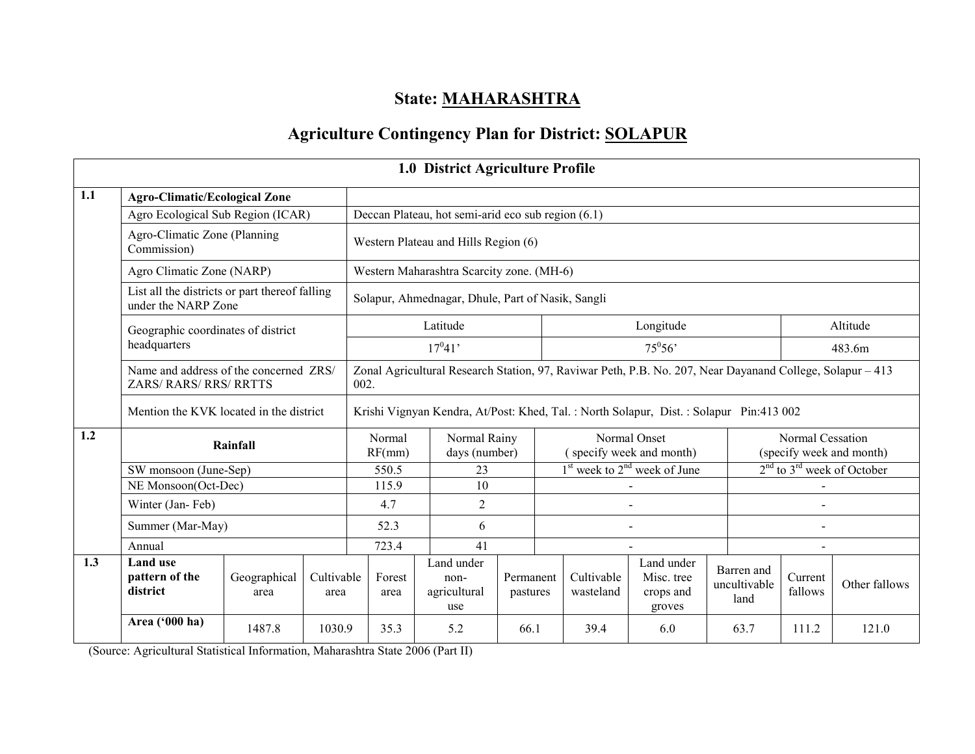## State: MAHARASHTRA

## Agriculture Contingency Plan for District: SOLAPUR

|     |                                                                       |                      |                    |                                                                                                                   |  | 1.0 District Agriculture Profile                   |                       |                                  |                                          |                                                                                       |                                    |                                                    |               |  |
|-----|-----------------------------------------------------------------------|----------------------|--------------------|-------------------------------------------------------------------------------------------------------------------|--|----------------------------------------------------|-----------------------|----------------------------------|------------------------------------------|---------------------------------------------------------------------------------------|------------------------------------|----------------------------------------------------|---------------|--|
| 1.1 | <b>Agro-Climatic/Ecological Zone</b>                                  |                      |                    |                                                                                                                   |  |                                                    |                       |                                  |                                          |                                                                                       |                                    |                                                    |               |  |
|     | Agro Ecological Sub Region (ICAR)                                     |                      |                    |                                                                                                                   |  | Deccan Plateau, hot semi-arid eco sub region (6.1) |                       |                                  |                                          |                                                                                       |                                    |                                                    |               |  |
|     | Agro-Climatic Zone (Planning<br>Commission)                           |                      |                    |                                                                                                                   |  | Western Plateau and Hills Region (6)               |                       |                                  |                                          |                                                                                       |                                    |                                                    |               |  |
|     | Agro Climatic Zone (NARP)                                             |                      |                    |                                                                                                                   |  | Western Maharashtra Scarcity zone. (MH-6)          |                       |                                  |                                          |                                                                                       |                                    |                                                    |               |  |
|     | List all the districts or part thereof falling<br>under the NARP Zone |                      |                    |                                                                                                                   |  | Solapur, Ahmednagar, Dhule, Part of Nasik, Sangli  |                       |                                  |                                          |                                                                                       |                                    |                                                    |               |  |
|     | Geographic coordinates of district                                    |                      |                    |                                                                                                                   |  | Latitude                                           |                       |                                  |                                          | Longitude                                                                             |                                    |                                                    | Altitude      |  |
|     | headquarters                                                          |                      |                    | $17^{0}41'$                                                                                                       |  |                                                    |                       |                                  | $75^0 56'$                               |                                                                                       |                                    | 483.6m                                             |               |  |
|     | Name and address of the concerned ZRS/<br>ZARS/RARS/RRS/RRTTS         |                      |                    | Zonal Agricultural Research Station, 97, Raviwar Peth, P.B. No. 207, Near Dayanand College, Solapur – 413<br>002. |  |                                                    |                       |                                  |                                          |                                                                                       |                                    |                                                    |               |  |
|     | Mention the KVK located in the district                               |                      |                    |                                                                                                                   |  |                                                    |                       |                                  |                                          | Krishi Vignyan Kendra, At/Post: Khed, Tal.: North Solapur, Dist.: Solapur Pin:413 002 |                                    |                                                    |               |  |
| 1.2 |                                                                       | Rainfall             |                    | Normal<br>RF(mm)                                                                                                  |  | Normal Rainy<br>days (number)                      |                       |                                  | Normal Onset<br>(specify week and month) |                                                                                       |                                    | Normal Cessation<br>(specify week and month)       |               |  |
|     | SW monsoon (June-Sep)                                                 |                      |                    | 550.5                                                                                                             |  | 23                                                 |                       | $1st$ week to $2nd$ week of June |                                          |                                                                                       |                                    | 2 <sup>nd</sup> to 3 <sup>rd</sup> week of October |               |  |
|     | NE Monsoon(Oct-Dec)                                                   |                      |                    | 115.9                                                                                                             |  | 10                                                 |                       |                                  |                                          |                                                                                       |                                    |                                                    |               |  |
|     | Winter (Jan-Feb)                                                      |                      |                    | 4.7                                                                                                               |  | $\overline{2}$                                     |                       |                                  |                                          |                                                                                       |                                    |                                                    |               |  |
|     | Summer (Mar-May)                                                      |                      |                    | 52.3                                                                                                              |  | 6                                                  |                       |                                  |                                          |                                                                                       |                                    |                                                    |               |  |
|     | Annual                                                                |                      |                    | 723.4                                                                                                             |  | 41                                                 |                       |                                  |                                          |                                                                                       |                                    |                                                    |               |  |
| 1.3 | <b>Land use</b><br>pattern of the<br>district                         | Geographical<br>area | Cultivable<br>area | Forest<br>area                                                                                                    |  | Land under<br>non-<br>agricultural<br>use          | Permanent<br>pastures |                                  | Cultivable<br>wasteland                  | Land under<br>Misc. tree<br>crops and<br>groves                                       | Barren and<br>uncultivable<br>land | Current<br>fallows                                 | Other fallows |  |
|     | Area ('000 ha)                                                        | 1487.8               | 1030.9             | 35.3                                                                                                              |  | 5.2                                                | 66.1                  |                                  | 39.4                                     | 6.0                                                                                   | 63.7                               | 111.2                                              | 121.0         |  |

(Source: Agricultural Statistical Information, Maharashtra State 2006 (Part II)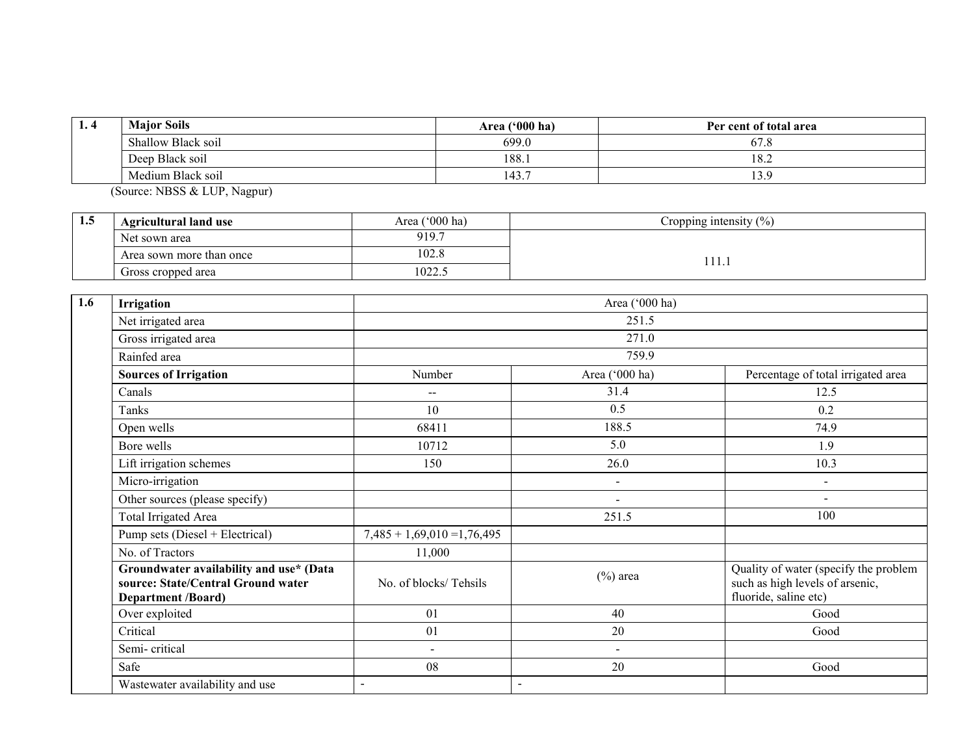| 1.4 | <b>Major Soils</b> | $(900)$ ha)<br><b>Area</b> ( | Per cent of total area           |
|-----|--------------------|------------------------------|----------------------------------|
|     | Shallow Black soil | 699.0                        | $\overline{\phantom{a}}$<br>67.8 |
|     | Deep Black soil    | 188.                         | 18.2                             |
|     | Medium Black soil  | 143.                         | 13.9                             |

(Source: NBSS & LUP, Nagpur),

| 1.5 | <b>Agricultural land use</b> | $^{\prime\prime}$ 000 ha)<br>Area ( | Cropping intensity $\frac{6}{6}$ |  |  |
|-----|------------------------------|-------------------------------------|----------------------------------|--|--|
|     | Net sown area                | 919.7                               |                                  |  |  |
|     | Area sown more than once     | 102.8                               |                                  |  |  |
|     | Gross cropped area           | 1022.5                              | .                                |  |  |

| 1.6 | Irrigation                                                                                                 |                               | Area ('000 ha)           |                                                                                                   |
|-----|------------------------------------------------------------------------------------------------------------|-------------------------------|--------------------------|---------------------------------------------------------------------------------------------------|
|     | Net irrigated area                                                                                         |                               | 251.5                    |                                                                                                   |
|     | Gross irrigated area                                                                                       |                               | 271.0                    |                                                                                                   |
|     | Rainfed area                                                                                               |                               | 759.9                    |                                                                                                   |
|     | <b>Sources of Irrigation</b>                                                                               | Number                        | Area ('000 ha)           | Percentage of total irrigated area                                                                |
|     | Canals                                                                                                     | --                            | 31.4                     | 12.5                                                                                              |
|     | Tanks                                                                                                      | 10                            | 0.5                      | 0.2                                                                                               |
|     | Open wells                                                                                                 | 68411                         | 188.5                    | 74.9                                                                                              |
|     | Bore wells                                                                                                 | 10712                         | 5.0                      | 1.9                                                                                               |
|     | Lift irrigation schemes                                                                                    | 150                           | 26.0                     | 10.3                                                                                              |
|     | Micro-irrigation                                                                                           |                               | $\blacksquare$           | $\sim$                                                                                            |
|     | Other sources (please specify)                                                                             |                               | $\overline{\phantom{a}}$ | $\overline{\phantom{a}}$                                                                          |
|     | <b>Total Irrigated Area</b>                                                                                |                               | 251.5                    | 100                                                                                               |
|     | Pump sets (Diesel + Electrical)                                                                            | $7,485 + 1,69,010 = 1,76,495$ |                          |                                                                                                   |
|     | No. of Tractors                                                                                            | 11,000                        |                          |                                                                                                   |
|     | Groundwater availability and use* (Data<br>source: State/Central Ground water<br><b>Department /Board)</b> | No. of blocks/Tehsils         | $(\%)$ area              | Quality of water (specify the problem<br>such as high levels of arsenic,<br>fluoride, saline etc) |
|     | Over exploited                                                                                             | 01                            | 40                       | Good                                                                                              |
|     | Critical                                                                                                   | 01                            | 20                       | Good                                                                                              |
|     | Semi-critical                                                                                              | $\blacksquare$                | $\blacksquare$           |                                                                                                   |
|     | Safe                                                                                                       | 08                            | 20                       | Good                                                                                              |
|     | Wastewater availability and use                                                                            | $\overline{a}$                |                          |                                                                                                   |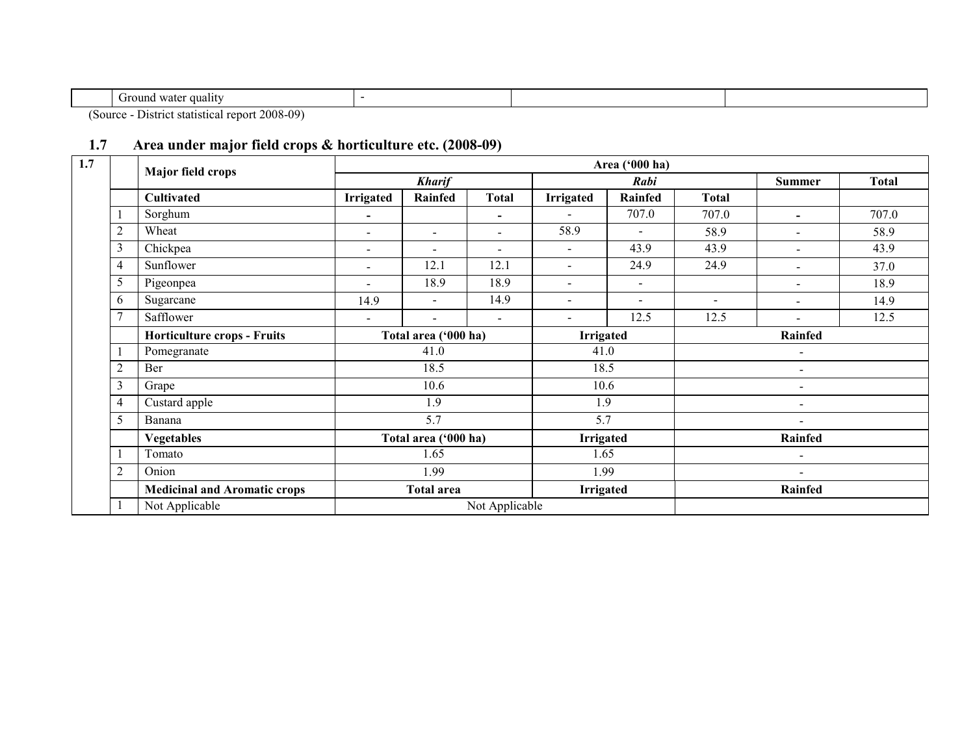| . fround<br>qualit<br>u water |  |  |
|-------------------------------|--|--|

(Source - District statistical report 2008-09)

## 1.7 Area under major field crops & horticulture etc. (2008-09)

| 1.7 |                | <b>Major field crops</b>            |                          |                                   |                          |                          | Area ('000 ha) |                          |                          |       |
|-----|----------------|-------------------------------------|--------------------------|-----------------------------------|--------------------------|--------------------------|----------------|--------------------------|--------------------------|-------|
|     |                |                                     |                          | <b>Kharif</b>                     |                          |                          | Rabi           |                          | Summer                   | Total |
|     |                | Cultivated                          | <b>Irrigated</b>         | Rainfed                           | <b>Total</b>             | <b>Irrigated</b>         | Rainfed        | Total                    |                          |       |
|     |                | Sorghum                             | $\blacksquare$           |                                   | $\overline{\phantom{0}}$ |                          | 707.0          | 707.0                    | $\blacksquare$           | 707.0 |
|     |                | Wheat                               | $\blacksquare$           | $\overline{\phantom{0}}$          | ۰                        | 58.9                     | $\mathbf{r}$   | 58.9                     |                          | 58.9  |
|     |                | Chickpea                            | $\blacksquare$           | $\overline{\phantom{a}}$          | ۰                        | $\overline{\phantom{a}}$ | 43.9           | 43.9                     |                          | 43.9  |
|     | 4              | Sunflower                           | $\blacksquare$           | 12.1                              | 12.1                     |                          | 24.9           | 24.9                     |                          | 37.0  |
|     | 5              | Pigeonpea                           | $\overline{\phantom{0}}$ | 18.9                              | 18.9                     | $\overline{\phantom{a}}$ | $\blacksquare$ |                          | $\blacksquare$           | 18.9  |
|     | 6              | Sugarcane                           | 14.9                     |                                   | 14.9                     | $\overline{\phantom{a}}$ |                | $\overline{\phantom{0}}$ | $\blacksquare$           | 14.9  |
|     |                | Safflower                           | $\overline{\phantom{0}}$ | $\overline{\phantom{a}}$          | $\overline{\phantom{a}}$ | $\overline{\phantom{a}}$ | 12.5           | 12.5                     |                          | 12.5  |
|     |                | <b>Horticulture crops - Fruits</b>  |                          | Total area ('000 ha)              |                          | <b>Irrigated</b>         |                |                          | <b>Rainfed</b>           |       |
|     |                | Pomegranate                         |                          | 41.0                              |                          | 41.0<br>18.5             |                | $\overline{\phantom{a}}$ |                          |       |
|     | 2              | Ber                                 |                          | 18.5                              |                          |                          |                |                          |                          |       |
|     | 3              | Grape                               |                          | 10.6                              |                          | 10.6                     |                |                          | $\blacksquare$           |       |
|     | $\overline{4}$ | Custard apple                       |                          | 1.9                               |                          | 1.9                      |                |                          | $\blacksquare$           |       |
|     | 5              | Banana                              |                          | 5.7                               |                          | 5.7                      |                |                          | $\blacksquare$           |       |
|     |                | <b>Vegetables</b>                   |                          | Total area ('000 ha)              |                          | <b>Irrigated</b>         |                |                          | Rainfed                  |       |
|     |                | Tomato                              |                          | 1.65<br>1.99<br><b>Total area</b> |                          |                          | 1.65           |                          | $\overline{\phantom{0}}$ |       |
|     | $\overline{c}$ | Onion                               |                          |                                   |                          |                          | 1.99           |                          |                          |       |
|     |                | <b>Medicinal and Aromatic crops</b> |                          |                                   |                          |                          | Irrigated      |                          | Rainfed                  |       |
|     |                | Not Applicable                      |                          |                                   | Not Applicable           |                          |                |                          |                          |       |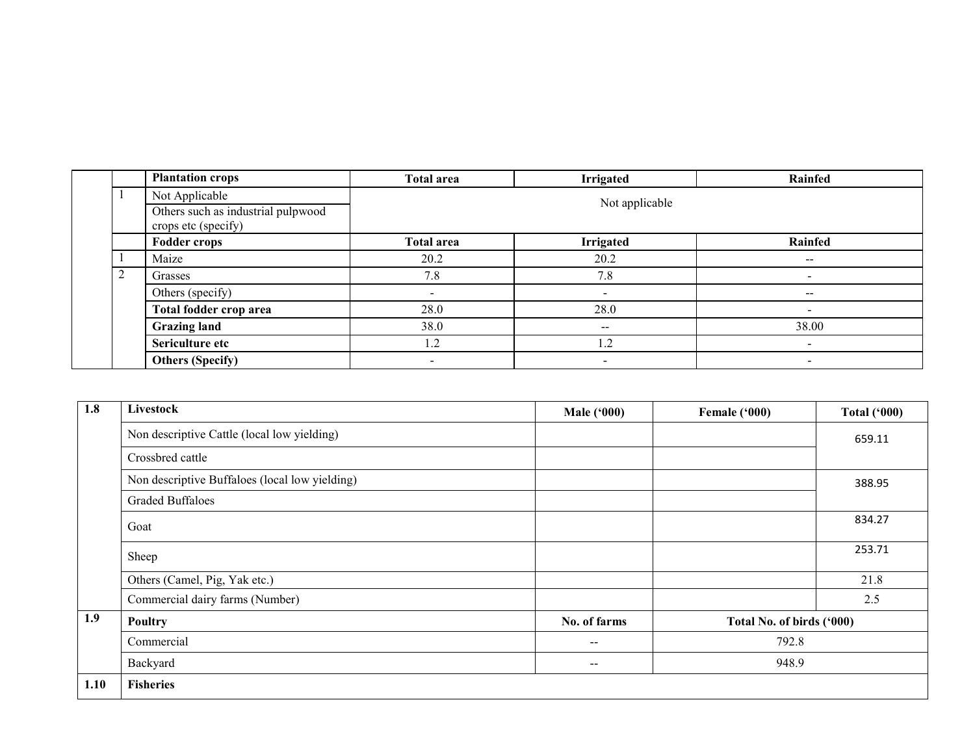|        | <b>Plantation crops</b>                                   | <b>Total area</b> | <b>Irrigated</b>         | Rainfed                  |
|--------|-----------------------------------------------------------|-------------------|--------------------------|--------------------------|
|        | Not Applicable                                            |                   | Not applicable           |                          |
|        | Others such as industrial pulpwood<br>crops etc (specify) |                   |                          |                          |
|        | <b>Fodder crops</b>                                       | <b>Total area</b> | <b>Irrigated</b>         | Rainfed                  |
|        | Maize                                                     | 20.2              | 20.2                     | $-$                      |
| ↑<br>∠ | Grasses                                                   | 7.8               | 7.8                      |                          |
|        | Others (specify)                                          | $\,$              | $\blacksquare$           | $\sim$                   |
|        | Total fodder crop area                                    | 28.0              | 28.0                     | $\overline{\phantom{0}}$ |
|        | <b>Grazing land</b>                                       | 38.0              | $\overline{\phantom{m}}$ | 38.00                    |
|        | Sericulture etc                                           | 1.2               | 1.2                      |                          |
|        | <b>Others (Specify)</b>                                   | $\,$              |                          | $\,$                     |

| 1.8  | Livestock                                      | <b>Male ('000)</b> | Female ('000)             | <b>Total ('000)</b> |
|------|------------------------------------------------|--------------------|---------------------------|---------------------|
|      | Non descriptive Cattle (local low yielding)    |                    |                           | 659.11              |
|      | Crossbred cattle                               |                    |                           |                     |
|      | Non descriptive Buffaloes (local low yielding) |                    |                           | 388.95              |
|      | <b>Graded Buffaloes</b>                        |                    |                           |                     |
|      | Goat                                           |                    |                           | 834.27              |
|      | Sheep                                          |                    |                           | 253.71              |
|      | Others (Camel, Pig, Yak etc.)                  |                    |                           | 21.8                |
|      | Commercial dairy farms (Number)                |                    |                           | 2.5                 |
| 1.9  | <b>Poultry</b>                                 | No. of farms       | Total No. of birds ('000) |                     |
|      | Commercial                                     | $\qquad \qquad -$  | 792.8                     |                     |
|      | Backyard                                       | $\qquad \qquad -$  | 948.9                     |                     |
| 1.10 | <b>Fisheries</b>                               |                    |                           |                     |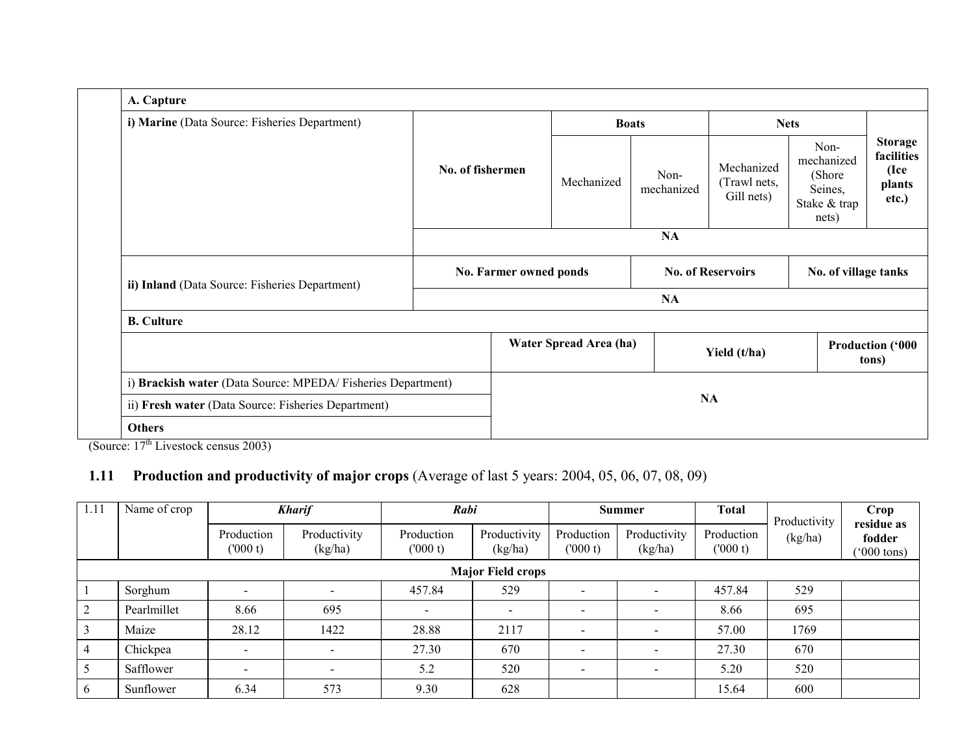| A. Capture                                                  |                        |                        |                          |                                          |                                                                   |                                                         |  |  |  |
|-------------------------------------------------------------|------------------------|------------------------|--------------------------|------------------------------------------|-------------------------------------------------------------------|---------------------------------------------------------|--|--|--|
| i) Marine (Data Source: Fisheries Department)               |                        |                        | <b>Boats</b>             |                                          | <b>Nets</b>                                                       |                                                         |  |  |  |
|                                                             | No. of fishermen       | Mechanized             | Non-<br>mechanized       | Mechanized<br>(Trawl nets,<br>Gill nets) | Non-<br>mechanized<br>(Shore)<br>Seines,<br>Stake & trap<br>nets) | <b>Storage</b><br>facilities<br>(Ice<br>plants<br>etc.) |  |  |  |
|                                                             |                        |                        | NA                       |                                          |                                                                   |                                                         |  |  |  |
| ii) Inland (Data Source: Fisheries Department)              | No. Farmer owned ponds |                        | <b>No. of Reservoirs</b> |                                          | No. of village tanks                                              |                                                         |  |  |  |
|                                                             | NA                     |                        |                          |                                          |                                                                   |                                                         |  |  |  |
| <b>B.</b> Culture                                           |                        |                        |                          |                                          |                                                                   |                                                         |  |  |  |
|                                                             |                        | Water Spread Area (ha) |                          | Yield (t/ha)                             |                                                                   | <b>Production ('000</b><br>tons)                        |  |  |  |
| i) Brackish water (Data Source: MPEDA/Fisheries Department) |                        |                        |                          |                                          |                                                                   |                                                         |  |  |  |
| ii) Fresh water (Data Source: Fisheries Department)         |                        |                        |                          | <b>NA</b>                                |                                                                   |                                                         |  |  |  |
| <b>Others</b>                                               |                        |                        |                          |                                          |                                                                   |                                                         |  |  |  |

(Source:  $17<sup>th</sup>$  Livestock census 2003)

## 1.11 Production and productivity of major crops (Average of last 5 years: 2004, 05, 06, 07, 08, 09)

| 1.11 | Name of crop             |                          | <b>Kharif</b>           | Rabi                     |                         | <b>Summer</b>                |                          | <b>Total</b>          | Productivity | Crop<br>residue as             |  |  |
|------|--------------------------|--------------------------|-------------------------|--------------------------|-------------------------|------------------------------|--------------------------|-----------------------|--------------|--------------------------------|--|--|
|      |                          | Production<br>(000 t)    | Productivity<br>(kg/ha) | Production<br>(000 t)    | Productivity<br>(kg/ha) | Production<br>(000 t)        | Productivity<br>(kg/ha)  | Production<br>(000 t) | (kg/ha)      | fodder<br>$(000 \text{ tons})$ |  |  |
|      | <b>Major Field crops</b> |                          |                         |                          |                         |                              |                          |                       |              |                                |  |  |
|      | Sorghum                  | $\overline{\phantom{0}}$ | $\blacksquare$          | 457.84                   | 529                     | $\overline{\phantom{a}}$     | $\sim$                   | 457.84                | 529          |                                |  |  |
|      | Pearlmillet              | 8.66                     | 695                     | $\overline{\phantom{a}}$ | $\blacksquare$          | $\overline{\phantom{0}}$     | $\sim$                   | 8.66                  | 695          |                                |  |  |
|      | Maize                    | 28.12                    | 1422                    | 28.88                    | 2117                    |                              | -                        | 57.00                 | 1769         |                                |  |  |
|      | Chickpea                 | $\overline{\phantom{0}}$ | $\blacksquare$          | 27.30                    | 670                     | $\qquad \qquad \blacksquare$ | $\overline{\phantom{a}}$ | 27.30                 | 670          |                                |  |  |
|      | Safflower                | $\overline{\phantom{0}}$ | $\blacksquare$          | 5.2                      | 520                     | $\qquad \qquad \blacksquare$ | $\sim$                   | 5.20                  | 520          |                                |  |  |
|      | Sunflower                | 6.34                     | 573                     | 9.30                     | 628                     |                              |                          | 15.64                 | 600          |                                |  |  |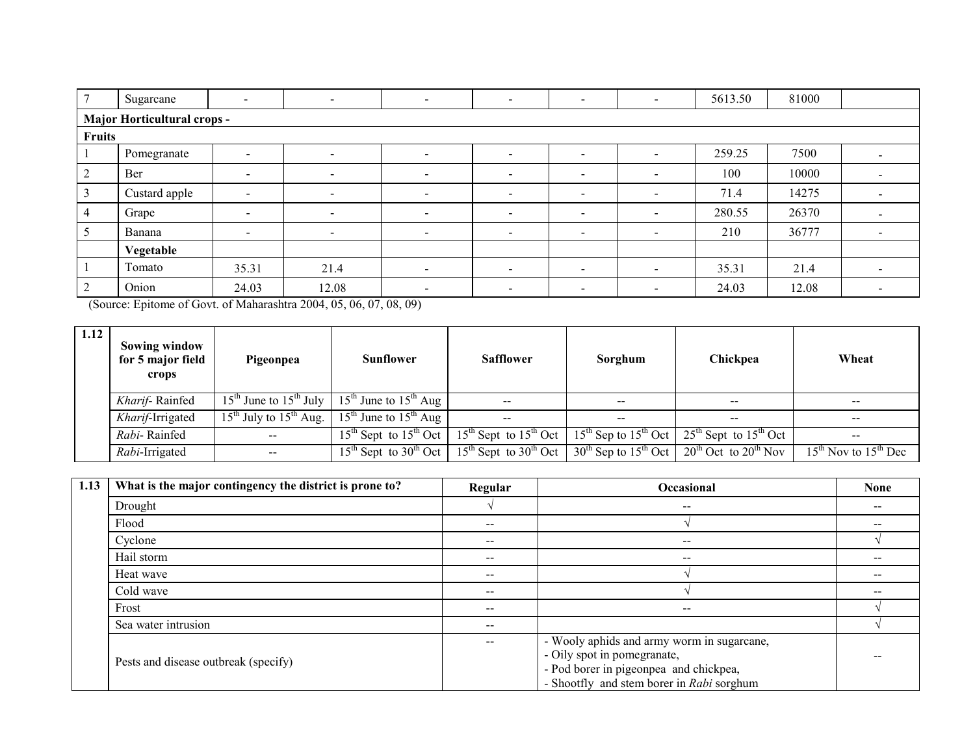| Sugarcane                   | $\overline{\phantom{a}}$ | $\sim$                   | $\overline{\phantom{a}}$ | $\overline{\phantom{a}}$ | $\overline{\phantom{a}}$ | $\overline{\phantom{a}}$ | 5613.50 | 81000 |        |  |  |
|-----------------------------|--------------------------|--------------------------|--------------------------|--------------------------|--------------------------|--------------------------|---------|-------|--------|--|--|
| Major Horticultural crops - |                          |                          |                          |                          |                          |                          |         |       |        |  |  |
| Fruits                      |                          |                          |                          |                          |                          |                          |         |       |        |  |  |
| Pomegranate                 | $\overline{\phantom{a}}$ | $\overline{\phantom{a}}$ | $\overline{\phantom{a}}$ | $\overline{\phantom{a}}$ | $\overline{\phantom{a}}$ | $\sim$                   | 259.25  | 7500  |        |  |  |
| Ber                         | $\blacksquare$           | $\overline{\phantom{a}}$ | $\overline{\phantom{0}}$ | $\overline{\phantom{a}}$ | $\overline{\phantom{0}}$ | $\sim$                   | 100     | 10000 |        |  |  |
| Custard apple               | $\sim$                   | $\sim$                   | $\overline{\phantom{a}}$ | $\sim$                   | $\blacksquare$           | $\sim$                   | 71.4    | 14275 |        |  |  |
| Grape                       | $\blacksquare$           | $\blacksquare$           | $\,$                     | $\overline{\phantom{a}}$ | $\blacksquare$           | $\overline{\phantom{a}}$ | 280.55  | 26370 |        |  |  |
| Banana                      | $\sim$                   | $\sim$                   | $\sim$                   | $\overline{\phantom{a}}$ | $\blacksquare$           | $\sim$                   | 210     | 36777 | $\sim$ |  |  |
| Vegetable                   |                          |                          |                          |                          |                          |                          |         |       |        |  |  |
| Tomato                      | 35.31                    | 21.4                     | $\sim$                   | $\overline{\phantom{a}}$ | $\overline{\phantom{0}}$ | $\sim$                   | 35.31   | 21.4  |        |  |  |
| Onion                       | 24.03                    | 12.08                    | $\overline{\phantom{a}}$ | $\overline{\phantom{0}}$ | $\,$                     | $\sim$                   | 24.03   | 12.08 |        |  |  |

(Source: Epitome of Govt. of Maharashtra 2004, 05, 06, 07, 08, 09)

| 1.12 | Sowing window<br>for 5 major field<br>crops | Pigeonpea                        | <b>Sunflower</b>                                                   | <b>Safflower</b>                                                                                                                                                                             | Sorghum       | Chickpea | Wheat                          |
|------|---------------------------------------------|----------------------------------|--------------------------------------------------------------------|----------------------------------------------------------------------------------------------------------------------------------------------------------------------------------------------|---------------|----------|--------------------------------|
|      | Kharif-Rainfed                              |                                  | $15^{th}$ June to $15^{th}$ July   $15^{th}$ June to $15^{th}$ Aug | $\hspace{0.1mm}-\hspace{0.1mm}-\hspace{0.1mm}$                                                                                                                                               | $- -$         | $- -$    |                                |
|      | Kharif-Irrigated                            | $15^{th}$ July to $15^{th}$ Aug. | $15^{th}$ June to $15^{th}$ Aug                                    | $\hspace{0.1mm}-\hspace{0.1mm}-\hspace{0.1mm}$                                                                                                                                               | $\sim$ $\sim$ | $- -$    |                                |
|      | Rabi-Rainfed                                | $\sim$ $\sim$                    |                                                                    | 15 <sup>th</sup> Sept to 15 <sup>th</sup> Oct   15 <sup>th</sup> Sept to 15 <sup>th</sup> Oct   15 <sup>th</sup> Sep to 15 <sup>th</sup> Oct   25 <sup>th</sup> Sept to 15 <sup>th</sup> Oct |               |          | $\sim$ $\sim$                  |
|      | Rabi-Irrigated                              |                                  |                                                                    | 15 <sup>th</sup> Sept to 30 <sup>th</sup> Oct   15 <sup>th</sup> Sept to 30 <sup>th</sup> Oct   30 <sup>th</sup> Sep to 15 <sup>th</sup> Oct   20 <sup>th</sup> Oct to 20 <sup>th</sup> Nov  |               |          | $15^{th}$ Nov to $15^{th}$ Dec |

| 1.13 | What is the major contingency the district is prone to? | Regular                  | Occasional                                                                                                                                                       | <b>None</b> |
|------|---------------------------------------------------------|--------------------------|------------------------------------------------------------------------------------------------------------------------------------------------------------------|-------------|
|      | Drought                                                 |                          | $- -$                                                                                                                                                            |             |
|      | Flood                                                   | $- -$                    |                                                                                                                                                                  |             |
|      | Cyclone                                                 | $- -$                    | $\overline{\phantom{m}}$                                                                                                                                         |             |
|      | Hail storm                                              | $\overline{\phantom{m}}$ | $\overline{\phantom{m}}$                                                                                                                                         |             |
|      | Heat wave                                               | $\sim$ $\sim$            |                                                                                                                                                                  |             |
|      | Cold wave                                               | $- -$                    |                                                                                                                                                                  |             |
|      | Frost                                                   | $- -$                    | $\overline{\phantom{m}}$                                                                                                                                         |             |
|      | Sea water intrusion                                     | $\sim$ $\sim$            |                                                                                                                                                                  |             |
|      | Pests and disease outbreak (specify)                    | $- -$                    | - Wooly aphids and army worm in sugarcane,<br>- Oily spot in pomegranate,<br>- Pod borer in pigeonpea and chickpea,<br>- Shootfly and stem borer in Rabi sorghum |             |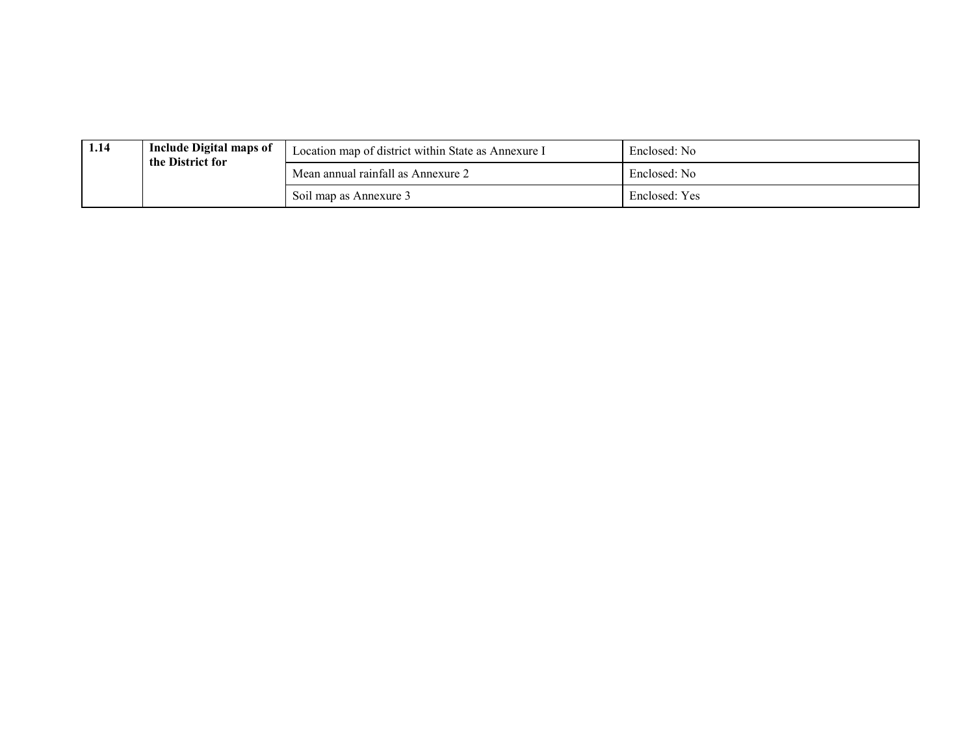| 1.14 | <b>Include Digital maps of</b><br>the District for | Location map of district within State as Annexure I | Enclosed: No  |
|------|----------------------------------------------------|-----------------------------------------------------|---------------|
|      |                                                    | Mean annual rainfall as Annexure 2                  | Enclosed: No  |
|      |                                                    | Soil map as Annexure 3                              | Enclosed: Yes |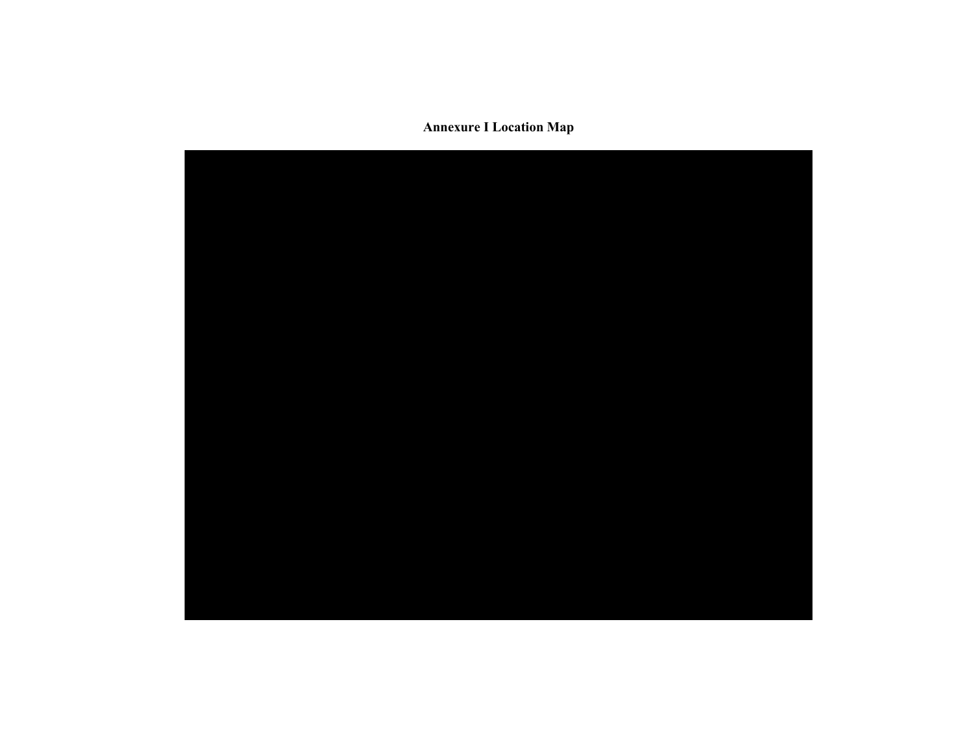Annexure I Location Map

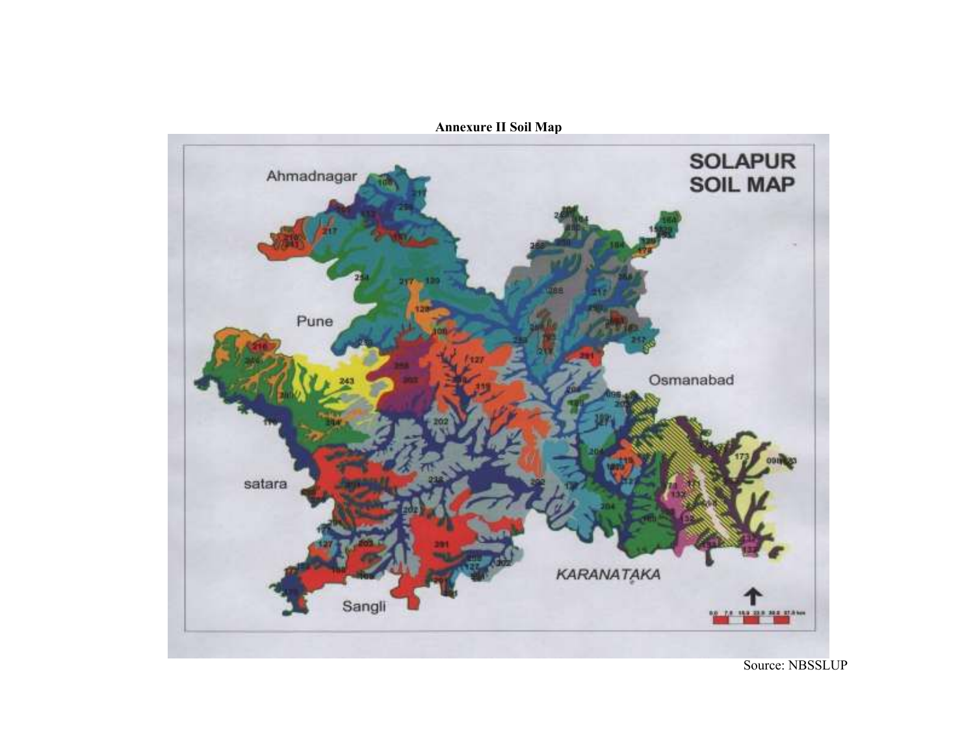

Annexure II Soil Map

Source: NBSSLUP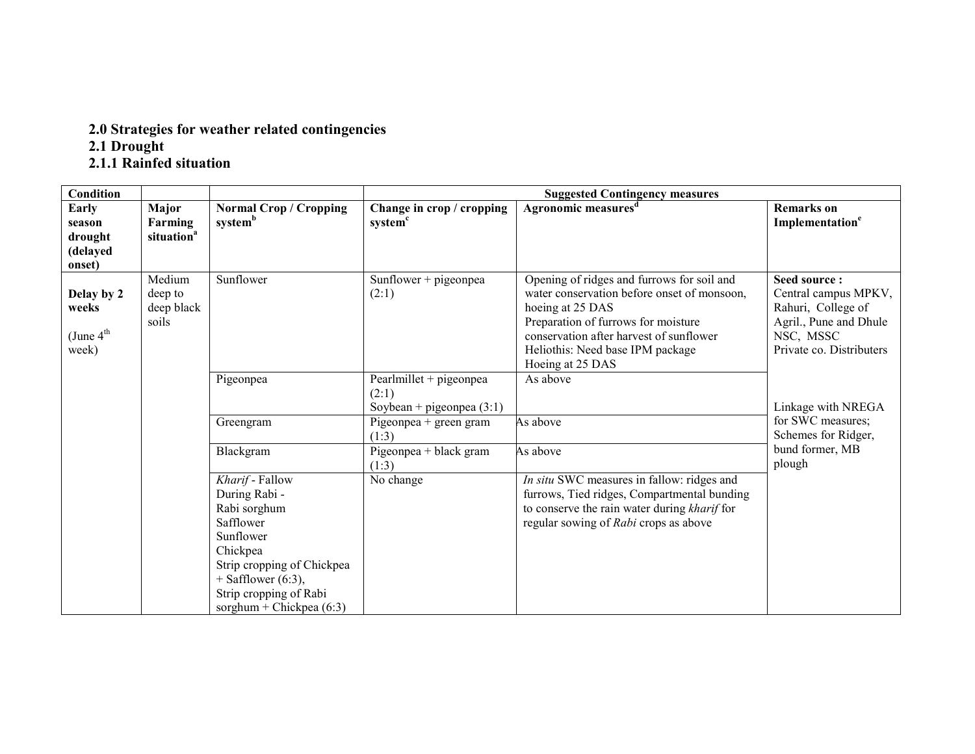# 2.0 Strategies for weather related contingencies 2.1 Drought 2.1.1 Rainfed situation

| Condition                                               |                                            |                                                                                                                                                                                                      |                                                                                           | <b>Suggested Contingency measures</b>                                                                                                                                                                                                                   |                                                                                                                               |
|---------------------------------------------------------|--------------------------------------------|------------------------------------------------------------------------------------------------------------------------------------------------------------------------------------------------------|-------------------------------------------------------------------------------------------|---------------------------------------------------------------------------------------------------------------------------------------------------------------------------------------------------------------------------------------------------------|-------------------------------------------------------------------------------------------------------------------------------|
| Early<br>season<br>drought<br>(delayed<br>onset)        | Major<br>Farming<br>situation <sup>a</sup> | <b>Normal Crop / Cropping</b><br>system <sup>b</sup>                                                                                                                                                 | Change in crop / cropping<br>system <sup>c</sup>                                          | Agronomic measures <sup>d</sup>                                                                                                                                                                                                                         | <b>Remarks</b> on<br>Implementation <sup>e</sup>                                                                              |
| Delay by 2<br>weeks<br>(June $4^{\text{th}}$ )<br>week) | Medium<br>deep to<br>deep black<br>soils   | Sunflower                                                                                                                                                                                            | Sunflower + pigeonpea<br>(2:1)                                                            | Opening of ridges and furrows for soil and<br>water conservation before onset of monsoon,<br>hoeing at 25 DAS<br>Preparation of furrows for moisture<br>conservation after harvest of sunflower<br>Heliothis: Need base IPM package<br>Hoeing at 25 DAS | Seed source:<br>Central campus MPKV,<br>Rahuri, College of<br>Agril., Pune and Dhule<br>NSC, MSSC<br>Private co. Distributers |
|                                                         |                                            | Pigeonpea<br>Greengram                                                                                                                                                                               | Pearlmillet + pigeonpea<br>(2:1)<br>Soybean + pigeonpea $(3:1)$<br>Pigeonpea + green gram | As above<br>As above                                                                                                                                                                                                                                    | Linkage with NREGA<br>for SWC measures;                                                                                       |
|                                                         |                                            |                                                                                                                                                                                                      | (1:3)                                                                                     |                                                                                                                                                                                                                                                         | Schemes for Ridger,                                                                                                           |
|                                                         |                                            | Blackgram                                                                                                                                                                                            | Pigeonpea + black gram<br>(1:3)                                                           | As above                                                                                                                                                                                                                                                | bund former, MB<br>plough                                                                                                     |
|                                                         |                                            | Kharif - Fallow<br>During Rabi -<br>Rabi sorghum<br>Safflower<br>Sunflower<br>Chickpea<br>Strip cropping of Chickpea<br>$+$ Safflower (6:3),<br>Strip cropping of Rabi<br>sorghum + Chickpea $(6:3)$ | No change                                                                                 | In situ SWC measures in fallow: ridges and<br>furrows, Tied ridges, Compartmental bunding<br>to conserve the rain water during kharif for<br>regular sowing of Rabi crops as above                                                                      |                                                                                                                               |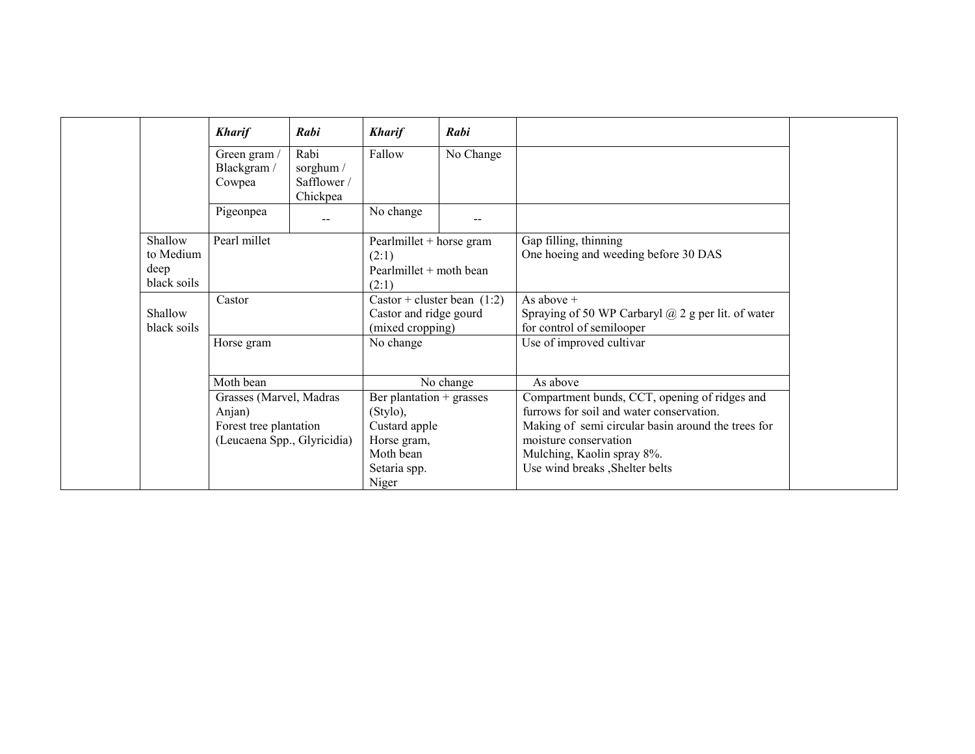|                                             | <b>Kharif</b>                                         | Rabi                                         | <b>Kharif</b>                                                               | Rabi      |                                                                                                        |
|---------------------------------------------|-------------------------------------------------------|----------------------------------------------|-----------------------------------------------------------------------------|-----------|--------------------------------------------------------------------------------------------------------|
|                                             | Green gram /<br>Blackgram /<br>Cowpea                 | Rabi<br>sorghum /<br>Safflower /<br>Chickpea | Fallow                                                                      | No Change |                                                                                                        |
|                                             | Pigeonpea                                             | $\sim$                                       | No change                                                                   | --        |                                                                                                        |
| Shallow<br>to Medium<br>deep<br>black soils | Pearl millet                                          |                                              | Pearlmillet + horse gram<br>(2:1)<br>Pearlmillet $+$ moth bean<br>(2:1)     |           | Gap filling, thinning<br>One hoeing and weeding before 30 DAS                                          |
| Shallow<br>black soils                      | Castor                                                |                                              | Castor + cluster bean $(1:2)$<br>Castor and ridge gourd<br>(mixed cropping) |           | As above $+$<br>Spraying of 50 WP Carbaryl $\omega$ 2 g per lit. of water<br>for control of semilooper |
|                                             | Horse gram                                            |                                              | No change                                                                   |           | Use of improved cultivar                                                                               |
|                                             | Moth bean                                             |                                              |                                                                             | No change | As above                                                                                               |
|                                             | Grasses (Marvel, Madras<br>Anjan)                     |                                              | Ber plantation + grasses<br>(Stylo),                                        |           | Compartment bunds, CCT, opening of ridges and<br>furrows for soil and water conservation.              |
|                                             | Forest tree plantation<br>(Leucaena Spp., Glyricidia) |                                              | Custard apple<br>Horse gram,<br>Moth bean                                   |           | Making of semi circular basin around the trees for<br>moisture conservation                            |
|                                             |                                                       |                                              | Setaria spp.<br>Niger                                                       |           | Mulching, Kaolin spray 8%.<br>Use wind breaks , Shelter belts                                          |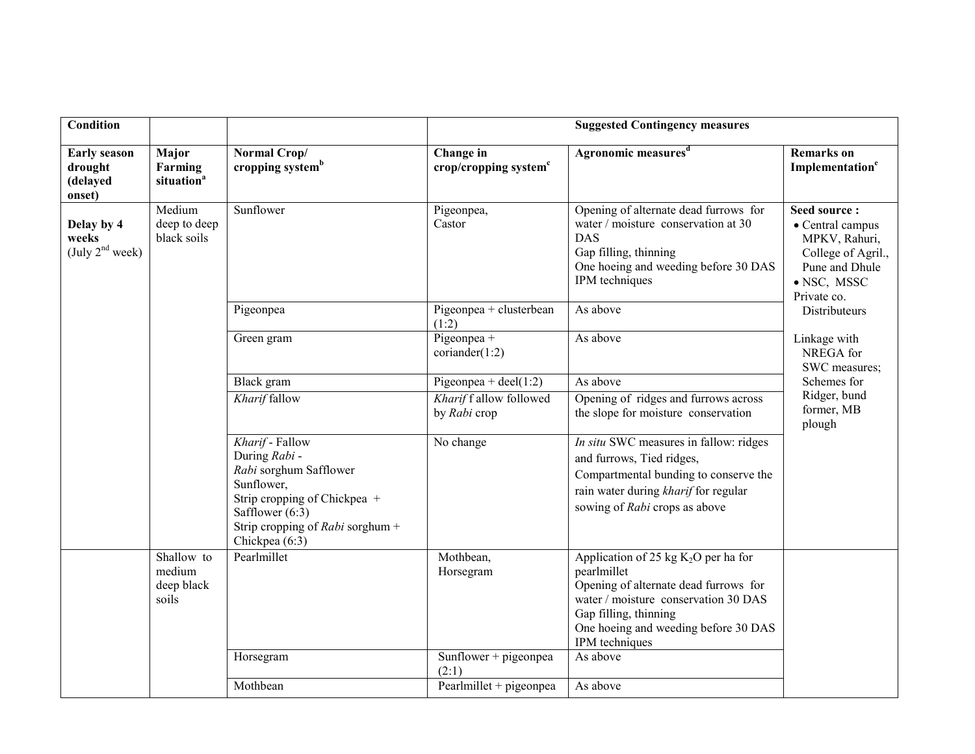| <b>Condition</b>                                     |                                             |                                                                                                                                                                                     |                                                | <b>Suggested Contingency measures</b>                                                                                                                                                                                     |                                                                                                                         |                                      |
|------------------------------------------------------|---------------------------------------------|-------------------------------------------------------------------------------------------------------------------------------------------------------------------------------------|------------------------------------------------|---------------------------------------------------------------------------------------------------------------------------------------------------------------------------------------------------------------------------|-------------------------------------------------------------------------------------------------------------------------|--------------------------------------|
| <b>Early season</b><br>drought<br>(delayed<br>onset) | Major<br>Farming<br>situation <sup>a</sup>  | Normal Crop/<br>cropping system <sup>b</sup>                                                                                                                                        | Change in<br>crop/cropping system <sup>c</sup> | Agronomic measures <sup>d</sup>                                                                                                                                                                                           | <b>Remarks</b> on<br>Implementation <sup>e</sup>                                                                        |                                      |
| Delay by 4<br>weeks<br>(July 2 <sup>nd</sup> week)   | Medium<br>deep to deep<br>black soils       | Sunflower                                                                                                                                                                           | Pigeonpea,<br>Castor                           | Opening of alternate dead furrows for<br>water / moisture conservation at 30<br><b>DAS</b><br>Gap filling, thinning<br>One hoeing and weeding before 30 DAS<br>IPM techniques                                             | Seed source:<br>• Central campus<br>MPKV, Rahuri,<br>College of Agril.,<br>Pune and Dhule<br>· NSC, MSSC<br>Private co. |                                      |
|                                                      |                                             | Pigeonpea                                                                                                                                                                           | Pigeonpea + clusterbean<br>(1:2)               | As above                                                                                                                                                                                                                  | Distributeurs                                                                                                           |                                      |
|                                                      |                                             | Green gram                                                                                                                                                                          | Pigeonpea +<br>coriander(1:2)                  | As above                                                                                                                                                                                                                  | Linkage with<br>NREGA for<br>SWC measures;                                                                              |                                      |
|                                                      |                                             | Black gram                                                                                                                                                                          | Pigeonpea + deel $(1:2)$                       | As above                                                                                                                                                                                                                  | Schemes for                                                                                                             |                                      |
|                                                      |                                             |                                                                                                                                                                                     | Kharif fallow                                  | Kharif f allow followed<br>by Rabi crop                                                                                                                                                                                   | Opening of ridges and furrows across<br>the slope for moisture conservation                                             | Ridger, bund<br>former, MB<br>plough |
|                                                      |                                             | Kharif - Fallow<br>During Rabi -<br>Rabi sorghum Safflower<br>Sunflower,<br>Strip cropping of Chickpea +<br>Safflower $(6:3)$<br>Strip cropping of Rabi sorghum +<br>Chickpea (6:3) | No change                                      | In situ SWC measures in fallow: ridges<br>and furrows, Tied ridges,<br>Compartmental bunding to conserve the<br>rain water during kharif for regular<br>sowing of Rabi crops as above                                     |                                                                                                                         |                                      |
|                                                      | Shallow to<br>medium<br>deep black<br>soils | Pearlmillet                                                                                                                                                                         | Mothbean,<br>Horsegram                         | Application of 25 kg $K_2O$ per ha for<br>pearlmillet<br>Opening of alternate dead furrows for<br>water / moisture conservation 30 DAS<br>Gap filling, thinning<br>One hoeing and weeding before 30 DAS<br>IPM techniques |                                                                                                                         |                                      |
|                                                      |                                             | Horsegram                                                                                                                                                                           | Sunflower + pigeonpea<br>(2:1)                 | As above                                                                                                                                                                                                                  |                                                                                                                         |                                      |
|                                                      |                                             | Mothbean                                                                                                                                                                            | Pearlmillet + pigeonpea                        | As above                                                                                                                                                                                                                  |                                                                                                                         |                                      |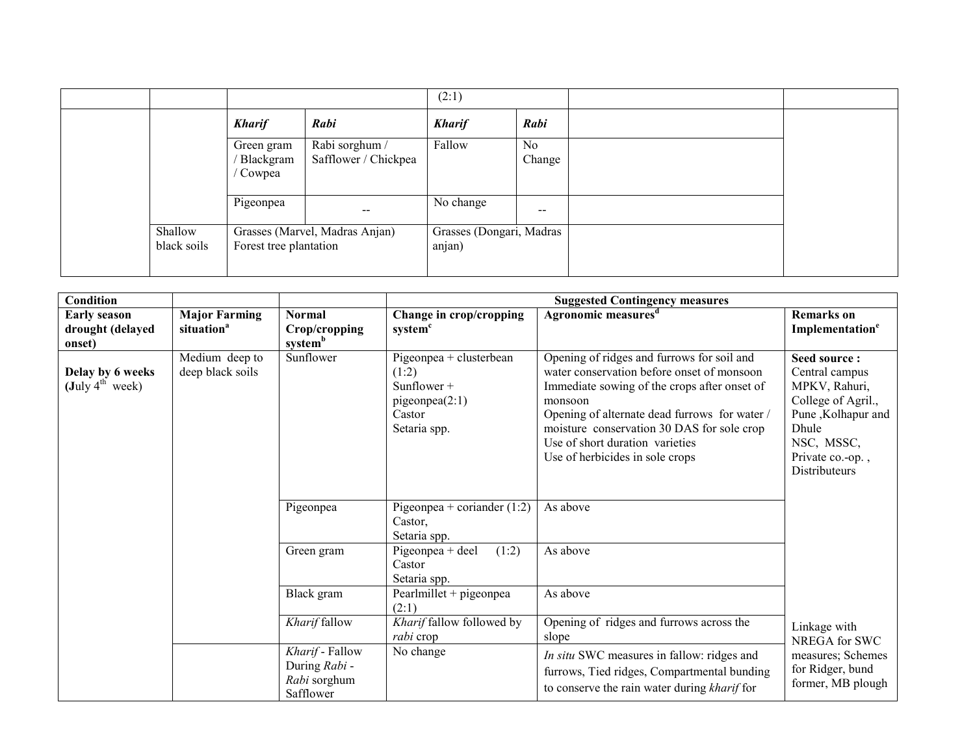|                        |                                   |                                        | (2:1)                              |                          |  |
|------------------------|-----------------------------------|----------------------------------------|------------------------------------|--------------------------|--|
|                        | <b>Kharif</b>                     | Rabi                                   | <b>Kharif</b>                      | Rabi                     |  |
|                        | Green gram<br>Blackgram<br>Cowpea | Rabi sorghum /<br>Safflower / Chickpea | Fallow                             | No<br>Change             |  |
|                        | Pigeonpea                         | $\overline{\phantom{m}}$               | No change                          | $\overline{\phantom{m}}$ |  |
| Shallow<br>black soils | Forest tree plantation            | Grasses (Marvel, Madras Anjan)         | Grasses (Dongari, Madras<br>anjan) |                          |  |

| Condition                                                       |                                                |                                                               |                                                                                                  | <b>Suggested Contingency measures</b>                                                                                                                                                                                                                                                                                    |                                                                                                                                                                |
|-----------------------------------------------------------------|------------------------------------------------|---------------------------------------------------------------|--------------------------------------------------------------------------------------------------|--------------------------------------------------------------------------------------------------------------------------------------------------------------------------------------------------------------------------------------------------------------------------------------------------------------------------|----------------------------------------------------------------------------------------------------------------------------------------------------------------|
| <b>Early season</b><br>drought (delayed<br>onset)               | <b>Major Farming</b><br>situation <sup>a</sup> | <b>Normal</b><br>Crop/cropping<br>system <sup>b</sup>         | Change in crop/cropping<br>system <sup>c</sup>                                                   | Agronomic measures <sup>d</sup>                                                                                                                                                                                                                                                                                          | <b>Remarks</b> on<br>Implementation <sup>e</sup>                                                                                                               |
| Delay by 6 weeks<br>$(\text{July } 4^{\text{th}} \text{ week})$ | Medium deep to<br>deep black soils             | Sunflower                                                     | Pigeonpea + clusterbean<br>(1:2)<br>Sunflower $+$<br>pigeonpea $(2:1)$<br>Castor<br>Setaria spp. | Opening of ridges and furrows for soil and<br>water conservation before onset of monsoon<br>Immediate sowing of the crops after onset of<br>monsoon<br>Opening of alternate dead furrows for water /<br>moisture conservation 30 DAS for sole crop<br>Use of short duration varieties<br>Use of herbicides in sole crops | Seed source:<br>Central campus<br>MPKV, Rahuri,<br>College of Agril.,<br>Pune, Kolhapur and<br>Dhule<br>NSC, MSSC,<br>Private co.-op.,<br><b>Distributeurs</b> |
|                                                                 |                                                | Pigeonpea                                                     | Pigeonpea + coriander $(1:2)$<br>Castor,<br>Setaria spp.                                         | As above                                                                                                                                                                                                                                                                                                                 |                                                                                                                                                                |
|                                                                 |                                                | Green gram                                                    | (1:2)<br>Pigeonpea + deel<br>Castor<br>Setaria spp.                                              | As above                                                                                                                                                                                                                                                                                                                 |                                                                                                                                                                |
| Black gram<br>Kharif fallow                                     |                                                |                                                               | Pearlmillet + pigeonpea<br>(2:1)                                                                 | As above                                                                                                                                                                                                                                                                                                                 |                                                                                                                                                                |
|                                                                 |                                                | Kharif fallow followed by<br>rabi crop                        | Opening of ridges and furrows across the<br>slope                                                | Linkage with<br>NREGA for SWC                                                                                                                                                                                                                                                                                            |                                                                                                                                                                |
|                                                                 |                                                | Kharif - Fallow<br>During Rabi -<br>Rabi sorghum<br>Safflower | No change                                                                                        | In situ SWC measures in fallow: ridges and<br>furrows, Tied ridges, Compartmental bunding<br>to conserve the rain water during kharif for                                                                                                                                                                                | measures; Schemes<br>for Ridger, bund<br>former, MB plough                                                                                                     |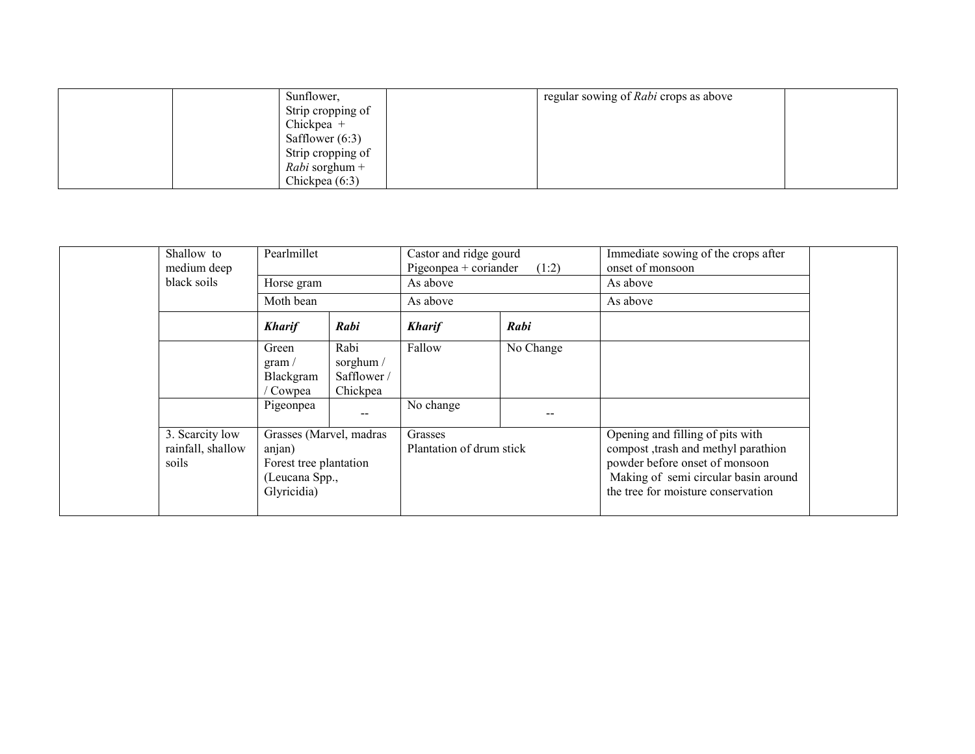| Sunflower.            | regular sowing of Rabi crops as above |  |
|-----------------------|---------------------------------------|--|
| Strip cropping of     |                                       |  |
| Chickpea $+$          |                                       |  |
| Safflower $(6:3)$     |                                       |  |
| Strip cropping of     |                                       |  |
| <i>Rabi</i> sorghum + |                                       |  |
| Chickpea $(6:3)$      |                                       |  |

| Shallow to<br>medium deep<br>black soils      | Pearlmillet<br>Horse gram<br>Moth bean                                                       |                                              | Castor and ridge gourd<br>Pigeonpea + coriander<br>As above | (1:2)     | Immediate sowing of the crops after<br>onset of monsoon<br>As above                                                                                                                      |  |
|-----------------------------------------------|----------------------------------------------------------------------------------------------|----------------------------------------------|-------------------------------------------------------------|-----------|------------------------------------------------------------------------------------------------------------------------------------------------------------------------------------------|--|
|                                               | <b>Kharif</b>                                                                                | Rabi                                         | As above<br><b>Kharif</b>                                   | Rabi      | As above                                                                                                                                                                                 |  |
|                                               | Green<br>gram /<br>Blackgram<br>/ Cowpea                                                     | Rabi<br>sorghum /<br>Safflower /<br>Chickpea | Fallow                                                      | No Change |                                                                                                                                                                                          |  |
|                                               | Pigeonpea                                                                                    |                                              | No change                                                   |           |                                                                                                                                                                                          |  |
| 3. Scarcity low<br>rainfall, shallow<br>soils | Grasses (Marvel, madras<br>anjan)<br>Forest tree plantation<br>(Leucana Spp.,<br>Glyricidia) |                                              | Grasses<br>Plantation of drum stick                         |           | Opening and filling of pits with<br>compost , trash and methyl parathion<br>powder before onset of monsoon<br>Making of semi circular basin around<br>the tree for moisture conservation |  |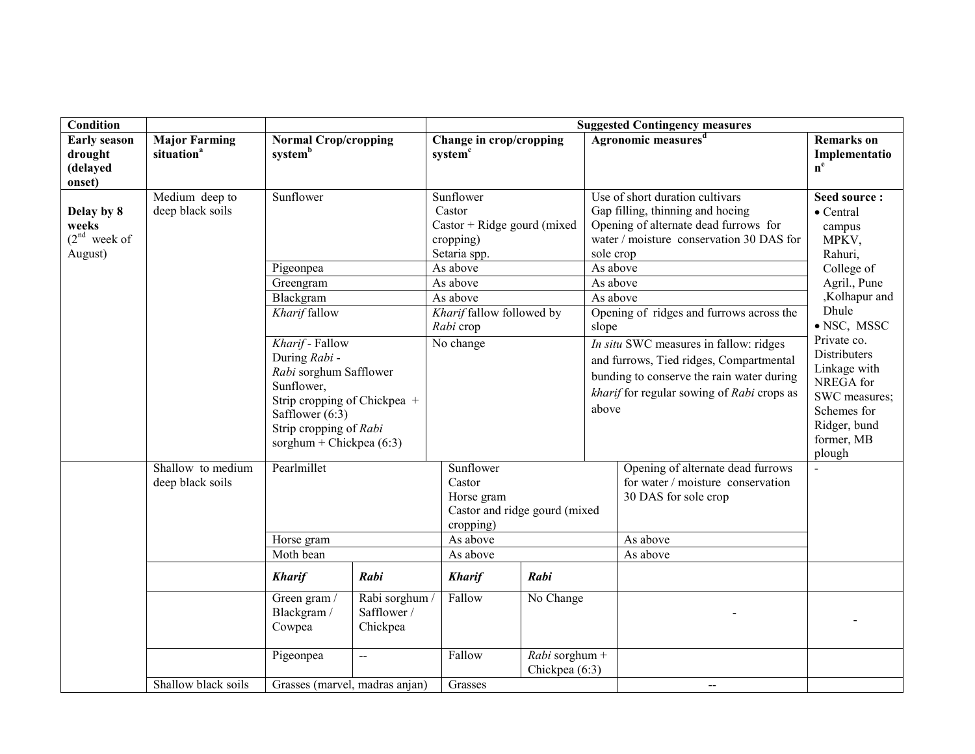| <b>Condition</b>                                     |                                                |                                                                                                                                                                                       |                                         | <b>Suggested Contingency measures</b>                                              |                               |                                                                                                                                                                                       |                                                                                                                                                          |                                                                                                                                         |
|------------------------------------------------------|------------------------------------------------|---------------------------------------------------------------------------------------------------------------------------------------------------------------------------------------|-----------------------------------------|------------------------------------------------------------------------------------|-------------------------------|---------------------------------------------------------------------------------------------------------------------------------------------------------------------------------------|----------------------------------------------------------------------------------------------------------------------------------------------------------|-----------------------------------------------------------------------------------------------------------------------------------------|
| <b>Early season</b><br>drought<br>(delayed<br>onset) | <b>Major Farming</b><br>situation <sup>a</sup> | <b>Normal Crop/cropping</b><br>systemb                                                                                                                                                |                                         | Change in crop/cropping<br>system <sup>c</sup>                                     |                               |                                                                                                                                                                                       | Agronomic measures <sup>d</sup>                                                                                                                          | <b>Remarks</b> on<br>Implementatio<br>$\mathbf{n}^\mathrm{e}$                                                                           |
| Delay by 8<br>weeks<br>$(2nd$ week of<br>August)     | Medium deep to<br>deep black soils             | Sunflower                                                                                                                                                                             |                                         | Sunflower<br>Castor<br>$Castor + Ridge$ gourd (mixed)<br>cropping)<br>Setaria spp. |                               | sole crop                                                                                                                                                                             | Use of short duration cultivars<br>Gap filling, thinning and hoeing<br>Opening of alternate dead furrows for<br>water / moisture conservation 30 DAS for | Seed source:<br>• Central<br>campus<br>MPKV,<br>Rahuri,                                                                                 |
|                                                      |                                                | Pigeonpea                                                                                                                                                                             |                                         | As above                                                                           |                               | As above                                                                                                                                                                              |                                                                                                                                                          | College of                                                                                                                              |
|                                                      |                                                | Greengram                                                                                                                                                                             |                                         | As above                                                                           |                               | As above                                                                                                                                                                              |                                                                                                                                                          | Agril., Pune                                                                                                                            |
|                                                      |                                                | Blackgram                                                                                                                                                                             |                                         | As above                                                                           |                               | As above                                                                                                                                                                              |                                                                                                                                                          | ,Kolhapur and                                                                                                                           |
|                                                      |                                                | Kharif fallow                                                                                                                                                                         |                                         | Kharif fallow followed by<br>Rabi crop                                             |                               | slope                                                                                                                                                                                 | Opening of ridges and furrows across the                                                                                                                 | Dhule<br>· NSC, MSSC                                                                                                                    |
|                                                      |                                                | Kharif - Fallow<br>During Rabi -<br>Rabi sorghum Safflower<br>Sunflower,<br>Strip cropping of Chickpea +<br>Safflower $(6:3)$<br>Strip cropping of Rabi<br>sorghum + Chickpea $(6:3)$ |                                         | No change                                                                          |                               | In situ SWC measures in fallow: ridges<br>and furrows, Tied ridges, Compartmental<br>bunding to conserve the rain water during<br>kharif for regular sowing of Rabi crops as<br>above |                                                                                                                                                          | Private co.<br><b>Distributers</b><br>Linkage with<br>NREGA for<br>SWC measures;<br>Schemes for<br>Ridger, bund<br>former, MB<br>plough |
|                                                      | Shallow to medium                              | Pearlmillet                                                                                                                                                                           |                                         | Sunflower                                                                          |                               |                                                                                                                                                                                       | Opening of alternate dead furrows                                                                                                                        |                                                                                                                                         |
|                                                      | deep black soils                               |                                                                                                                                                                                       |                                         | Castor                                                                             |                               |                                                                                                                                                                                       | for water / moisture conservation                                                                                                                        |                                                                                                                                         |
|                                                      |                                                |                                                                                                                                                                                       |                                         | Horse gram                                                                         |                               |                                                                                                                                                                                       | 30 DAS for sole crop                                                                                                                                     |                                                                                                                                         |
|                                                      |                                                |                                                                                                                                                                                       |                                         |                                                                                    | Castor and ridge gourd (mixed |                                                                                                                                                                                       |                                                                                                                                                          |                                                                                                                                         |
|                                                      |                                                |                                                                                                                                                                                       |                                         | cropping)                                                                          |                               |                                                                                                                                                                                       |                                                                                                                                                          |                                                                                                                                         |
|                                                      |                                                | Horse gram                                                                                                                                                                            |                                         | As above                                                                           |                               |                                                                                                                                                                                       | As above                                                                                                                                                 |                                                                                                                                         |
|                                                      |                                                | Moth bean                                                                                                                                                                             |                                         | As above                                                                           |                               |                                                                                                                                                                                       | As above                                                                                                                                                 |                                                                                                                                         |
|                                                      |                                                | <b>Kharif</b>                                                                                                                                                                         | Rabi                                    | <b>Kharif</b>                                                                      | Rabi                          |                                                                                                                                                                                       |                                                                                                                                                          |                                                                                                                                         |
|                                                      |                                                | Green gram /<br>Blackgram /<br>Cowpea                                                                                                                                                 | Rabi sorghum<br>Safflower /<br>Chickpea | Fallow                                                                             | No Change                     |                                                                                                                                                                                       |                                                                                                                                                          |                                                                                                                                         |
|                                                      |                                                | Pigeonpea                                                                                                                                                                             | $\overline{a}$                          | Fallow                                                                             | $Rabi$ sorghum +              |                                                                                                                                                                                       |                                                                                                                                                          |                                                                                                                                         |
|                                                      |                                                |                                                                                                                                                                                       |                                         |                                                                                    | Chickpea (6:3)                |                                                                                                                                                                                       |                                                                                                                                                          |                                                                                                                                         |
|                                                      | Shallow black soils                            | Grasses (marvel, madras anjan)                                                                                                                                                        |                                         | Grasses                                                                            |                               |                                                                                                                                                                                       | $\overline{a}$                                                                                                                                           |                                                                                                                                         |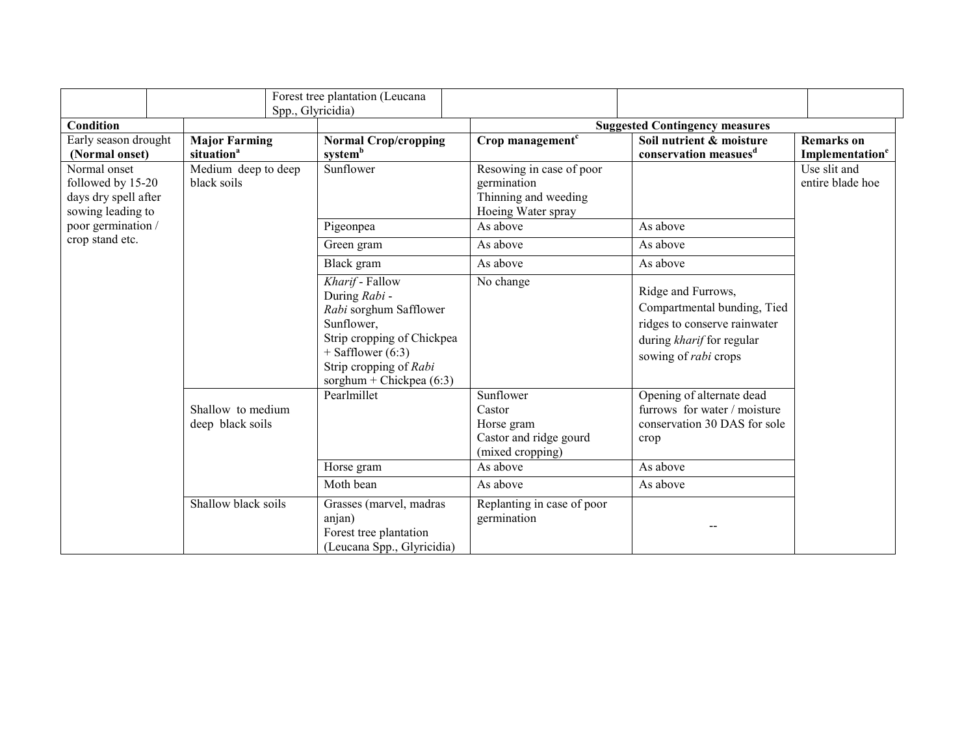|                                                                                |                                                | Spp., Glyricidia)                                                  | Forest tree plantation (Leucana                                                                                                                                                       |  |                                                                                             |                                                                                                                                        |                                                  |
|--------------------------------------------------------------------------------|------------------------------------------------|--------------------------------------------------------------------|---------------------------------------------------------------------------------------------------------------------------------------------------------------------------------------|--|---------------------------------------------------------------------------------------------|----------------------------------------------------------------------------------------------------------------------------------------|--------------------------------------------------|
| <b>Condition</b>                                                               |                                                |                                                                    |                                                                                                                                                                                       |  |                                                                                             | <b>Suggested Contingency measures</b>                                                                                                  |                                                  |
| Early season drought<br>(Normal onset)                                         | <b>Major Farming</b><br>situation <sup>a</sup> |                                                                    | <b>Normal Crop/cropping</b><br>system <sup>b</sup>                                                                                                                                    |  | Crop management <sup>c</sup>                                                                | Soil nutrient & moisture<br>conservation measues <sup>d</sup>                                                                          | <b>Remarks</b> on<br>Implementation <sup>e</sup> |
| Normal onset<br>followed by 15-20<br>days dry spell after<br>sowing leading to | Medium deep to deep<br>black soils             |                                                                    | Sunflower                                                                                                                                                                             |  | Resowing in case of poor<br>germination<br>Thinning and weeding<br>Hoeing Water spray       |                                                                                                                                        | Use slit and<br>entire blade hoe                 |
| poor germination /                                                             |                                                |                                                                    | Pigeonpea                                                                                                                                                                             |  | As above                                                                                    | As above                                                                                                                               |                                                  |
| crop stand etc.                                                                |                                                |                                                                    | Green gram                                                                                                                                                                            |  | As above                                                                                    | As above                                                                                                                               |                                                  |
|                                                                                |                                                |                                                                    | Black gram                                                                                                                                                                            |  | As above                                                                                    | As above                                                                                                                               |                                                  |
|                                                                                |                                                |                                                                    | Kharif - Fallow<br>During Rabi -<br>Rabi sorghum Safflower<br>Sunflower,<br>Strip cropping of Chickpea<br>$+$ Safflower (6:3)<br>Strip cropping of Rabi<br>sorghum + Chickpea $(6:3)$ |  | No change                                                                                   | Ridge and Furrows,<br>Compartmental bunding, Tied<br>ridges to conserve rainwater<br>during kharif for regular<br>sowing of rabi crops |                                                  |
|                                                                                |                                                | Pearlmillet<br>Shallow to medium<br>deep black soils<br>Horse gram |                                                                                                                                                                                       |  | Sunflower<br>Castor<br>Horse gram<br>Castor and ridge gourd<br>(mixed cropping)<br>As above | Opening of alternate dead<br>furrows for water / moisture<br>conservation 30 DAS for sole<br>crop<br>As above                          |                                                  |
|                                                                                |                                                |                                                                    | Moth bean                                                                                                                                                                             |  | As above                                                                                    | As above                                                                                                                               |                                                  |
|                                                                                | Shallow black soils                            |                                                                    | Grasses (marvel, madras<br>anjan)<br>Forest tree plantation<br>(Leucana Spp., Glyricidia)                                                                                             |  | Replanting in case of poor<br>germination                                                   |                                                                                                                                        |                                                  |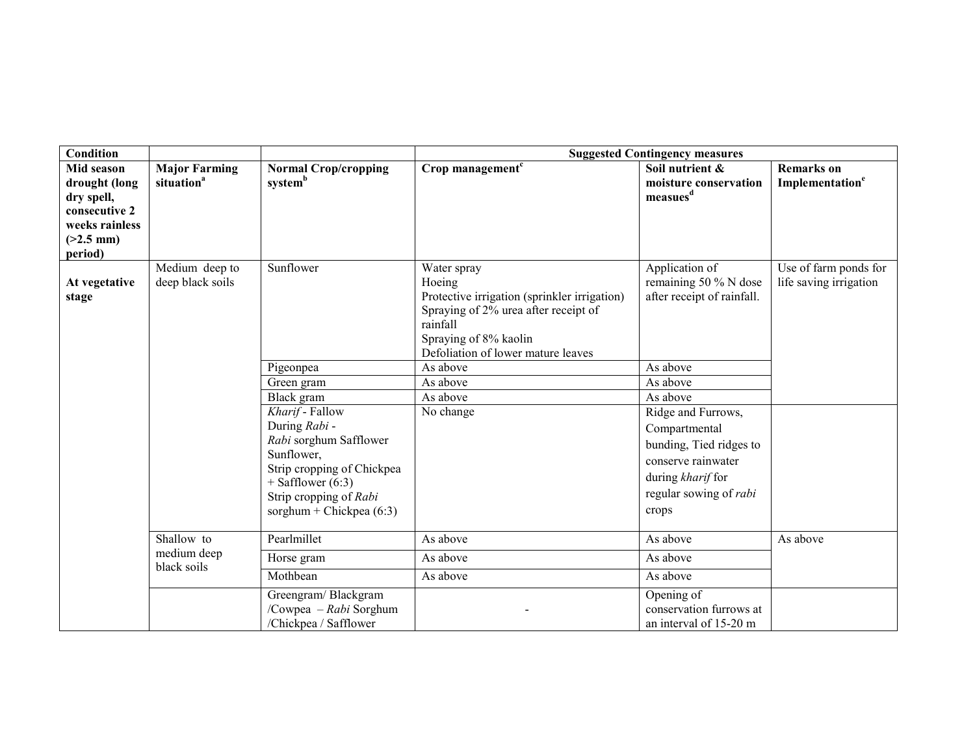| <b>Condition</b>                                                                                       |                                                |                                                                                                                                                                                       | <b>Suggested Contingency measures</b>                                                                                                                                                    |                                                                                                                                              |                                                  |  |  |  |
|--------------------------------------------------------------------------------------------------------|------------------------------------------------|---------------------------------------------------------------------------------------------------------------------------------------------------------------------------------------|------------------------------------------------------------------------------------------------------------------------------------------------------------------------------------------|----------------------------------------------------------------------------------------------------------------------------------------------|--------------------------------------------------|--|--|--|
| Mid season<br>drought (long<br>dry spell,<br>consecutive 2<br>weeks rainless<br>$(>2.5$ mm)<br>period) | <b>Major Farming</b><br>situation <sup>a</sup> | <b>Normal Crop/cropping</b><br>systemb                                                                                                                                                | Crop management <sup>c</sup>                                                                                                                                                             | Soil nutrient &<br>moisture conservation<br>measues <sup>d</sup>                                                                             | <b>Remarks</b> on<br>Implementation <sup>e</sup> |  |  |  |
| At vegetative<br>stage                                                                                 | Medium deep to<br>deep black soils             | Sunflower                                                                                                                                                                             | Water spray<br>Hoeing<br>Protective irrigation (sprinkler irrigation)<br>Spraying of 2% urea after receipt of<br>rainfall<br>Spraying of 8% kaolin<br>Defoliation of lower mature leaves | Application of<br>remaining 50 % N dose<br>after receipt of rainfall.                                                                        | Use of farm ponds for<br>life saving irrigation  |  |  |  |
|                                                                                                        |                                                | Pigeonpea                                                                                                                                                                             | As above                                                                                                                                                                                 | As above                                                                                                                                     |                                                  |  |  |  |
|                                                                                                        |                                                | Green gram<br>Black gram                                                                                                                                                              | As above<br>As above                                                                                                                                                                     | As above<br>As above                                                                                                                         |                                                  |  |  |  |
|                                                                                                        |                                                | Kharif - Fallow<br>During Rabi -<br>Rabi sorghum Safflower<br>Sunflower,<br>Strip cropping of Chickpea<br>$+$ Safflower (6:3)<br>Strip cropping of Rabi<br>sorghum + Chickpea $(6:3)$ | No change                                                                                                                                                                                | Ridge and Furrows,<br>Compartmental<br>bunding, Tied ridges to<br>conserve rainwater<br>during kharif for<br>regular sowing of rabi<br>crops |                                                  |  |  |  |
|                                                                                                        | Shallow to                                     | Pearlmillet                                                                                                                                                                           | As above                                                                                                                                                                                 | As above                                                                                                                                     | As above                                         |  |  |  |
|                                                                                                        | medium deep<br>black soils                     | Horse gram                                                                                                                                                                            | As above                                                                                                                                                                                 | As above                                                                                                                                     |                                                  |  |  |  |
|                                                                                                        |                                                | Mothbean                                                                                                                                                                              | As above                                                                                                                                                                                 | As above                                                                                                                                     |                                                  |  |  |  |
|                                                                                                        |                                                | Greengram/Blackgram<br>/Cowpea - Rabi Sorghum<br>/Chickpea / Safflower                                                                                                                |                                                                                                                                                                                          | Opening of<br>conservation furrows at<br>an interval of 15-20 m                                                                              |                                                  |  |  |  |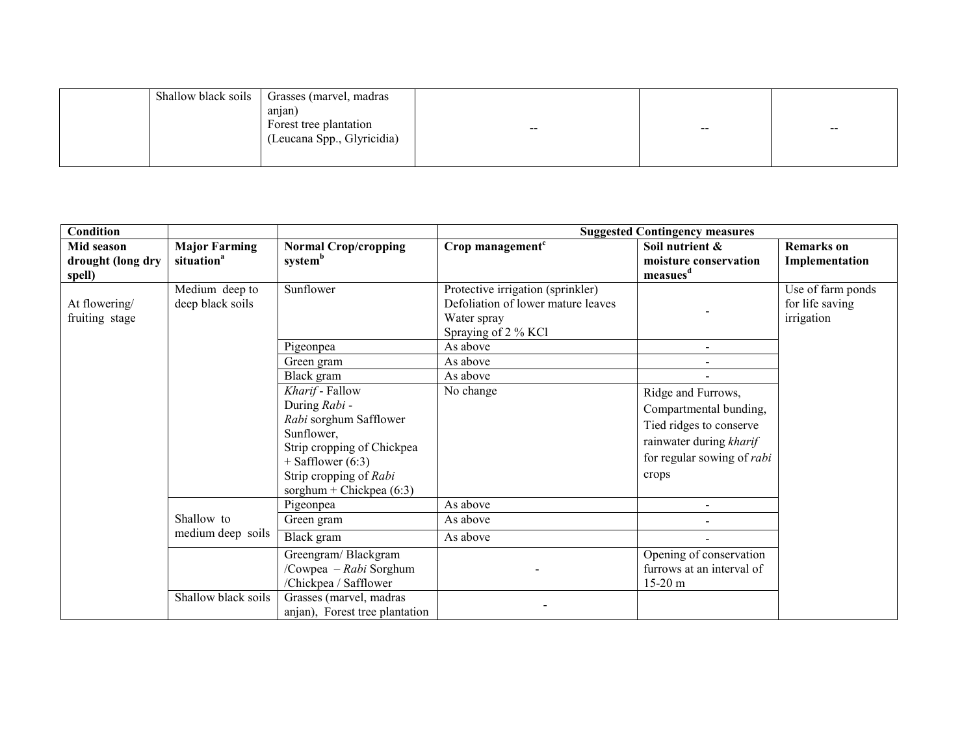| Shallow black soils | Grasses (marvel, madras    |                                     |                                     |       |
|---------------------|----------------------------|-------------------------------------|-------------------------------------|-------|
|                     | anjan                      |                                     |                                     |       |
|                     | Forest tree plantation     | $\hspace{0.1em}$ – $\hspace{0.1em}$ | $\hspace{0.1em}$ – $\hspace{0.1em}$ | $- -$ |
|                     | (Leucana Spp., Glyricidia) |                                     |                                     |       |
|                     |                            |                                     |                                     |       |
|                     |                            |                                     |                                     |       |

| Condition                                 |                                                |                                                                                                                                                                                     | <b>Suggested Contingency measures</b>                                                                         |                                                                                                                                                  |                                                    |  |
|-------------------------------------------|------------------------------------------------|-------------------------------------------------------------------------------------------------------------------------------------------------------------------------------------|---------------------------------------------------------------------------------------------------------------|--------------------------------------------------------------------------------------------------------------------------------------------------|----------------------------------------------------|--|
| Mid season<br>drought (long dry<br>spell) | <b>Major Farming</b><br>situation <sup>a</sup> | <b>Normal Crop/cropping</b><br>systemb                                                                                                                                              | Crop management <sup>c</sup>                                                                                  | Soil nutrient &<br>moisture conservation<br>measures <sup>d</sup>                                                                                | <b>Remarks</b> on<br>Implementation                |  |
| At flowering/<br>fruiting stage           | Medium deep to<br>deep black soils             | Sunflower                                                                                                                                                                           | Protective irrigation (sprinkler)<br>Defoliation of lower mature leaves<br>Water spray<br>Spraying of 2 % KCl |                                                                                                                                                  | Use of farm ponds<br>for life saving<br>irrigation |  |
|                                           |                                                | Pigeonpea                                                                                                                                                                           | As above                                                                                                      |                                                                                                                                                  |                                                    |  |
|                                           |                                                | Green gram                                                                                                                                                                          | As above                                                                                                      |                                                                                                                                                  |                                                    |  |
|                                           |                                                | Black gram                                                                                                                                                                          | As above                                                                                                      |                                                                                                                                                  |                                                    |  |
|                                           |                                                | Kharif - Fallow<br>During Rabi -<br>Rabi sorghum Safflower<br>Sunflower,<br>Strip cropping of Chickpea<br>$+$ Safflower (6:3)<br>Strip cropping of Rabi<br>sorghum + Chickpea (6:3) | No change                                                                                                     | Ridge and Furrows,<br>Compartmental bunding,<br>Tied ridges to conserve<br>rainwater during kharif<br>for regular sowing of <i>rabi</i><br>crops |                                                    |  |
|                                           |                                                | Pigeonpea                                                                                                                                                                           | As above                                                                                                      |                                                                                                                                                  |                                                    |  |
|                                           | Shallow to                                     | Green gram                                                                                                                                                                          | As above                                                                                                      |                                                                                                                                                  |                                                    |  |
|                                           | medium deep soils                              | Black gram                                                                                                                                                                          | As above                                                                                                      |                                                                                                                                                  |                                                    |  |
|                                           | Shallow black soils                            | Greengram/Blackgram<br>/Cowpea - Rabi Sorghum<br>/Chickpea / Safflower<br>Grasses (marvel, madras<br>anjan), Forest tree plantation                                                 |                                                                                                               | Opening of conservation<br>furrows at an interval of<br>$15-20$ m                                                                                |                                                    |  |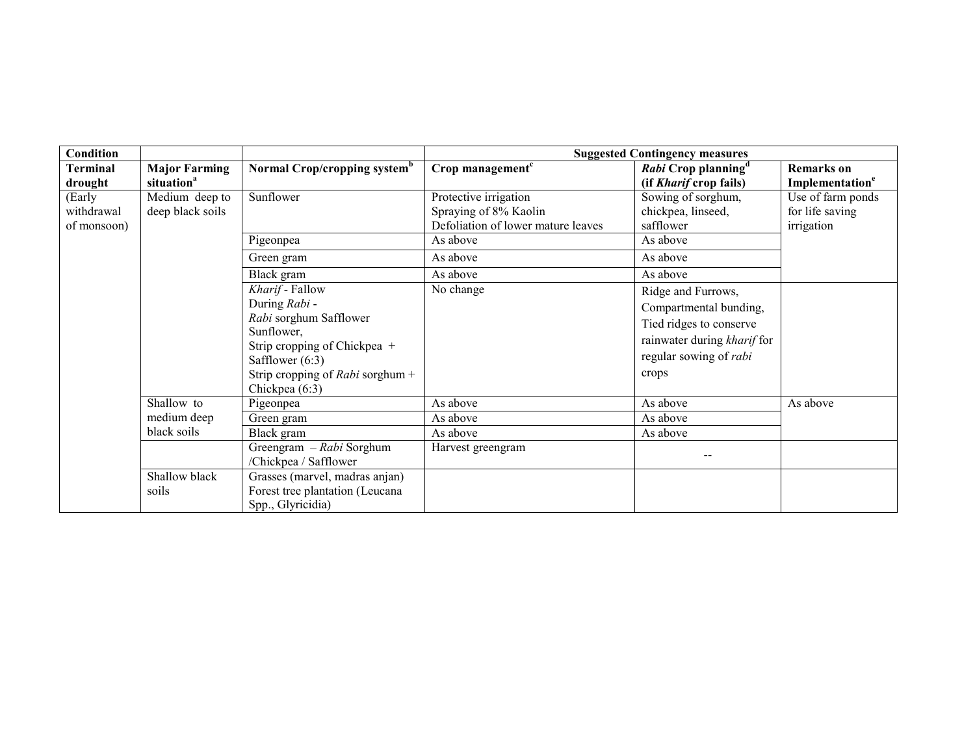| Condition                           |                                                |                                                                                                                                                                                     | <b>Suggested Contingency measures</b>                                                |                                                                                                                                           |                                                    |  |
|-------------------------------------|------------------------------------------------|-------------------------------------------------------------------------------------------------------------------------------------------------------------------------------------|--------------------------------------------------------------------------------------|-------------------------------------------------------------------------------------------------------------------------------------------|----------------------------------------------------|--|
| <b>Terminal</b><br>drought          | <b>Major Farming</b><br>situation <sup>a</sup> | Normal Crop/cropping system <sup>b</sup>                                                                                                                                            | Crop management <sup>c</sup>                                                         | Rabi Crop planning <sup>d</sup><br>(if Kharif crop fails)                                                                                 | <b>Remarks</b> on<br>Implementation <sup>e</sup>   |  |
| (Early<br>withdrawal<br>of monsoon) | Medium deep to<br>deep black soils             | Sunflower                                                                                                                                                                           | Protective irrigation<br>Spraying of 8% Kaolin<br>Defoliation of lower mature leaves | Sowing of sorghum,<br>chickpea, linseed,<br>safflower                                                                                     | Use of farm ponds<br>for life saving<br>irrigation |  |
|                                     |                                                | Pigeonpea                                                                                                                                                                           | As above                                                                             | As above                                                                                                                                  |                                                    |  |
|                                     |                                                | Green gram                                                                                                                                                                          | As above                                                                             | As above                                                                                                                                  |                                                    |  |
|                                     |                                                | Black gram                                                                                                                                                                          | As above                                                                             | As above                                                                                                                                  |                                                    |  |
|                                     |                                                | Kharif - Fallow<br>During Rabi -<br>Rabi sorghum Safflower<br>Sunflower,<br>Strip cropping of Chickpea +<br>Safflower $(6:3)$<br>Strip cropping of Rabi sorghum +<br>Chickpea (6:3) | No change                                                                            | Ridge and Furrows,<br>Compartmental bunding,<br>Tied ridges to conserve<br>rainwater during kharif for<br>regular sowing of rabi<br>crops |                                                    |  |
|                                     | Shallow to                                     | Pigeonpea                                                                                                                                                                           | As above                                                                             | As above                                                                                                                                  | As above                                           |  |
|                                     | medium deep                                    | Green gram                                                                                                                                                                          | As above                                                                             | As above                                                                                                                                  |                                                    |  |
|                                     | black soils                                    | Black gram                                                                                                                                                                          | As above                                                                             | As above                                                                                                                                  |                                                    |  |
|                                     |                                                | Greengram - Rabi Sorghum<br>/Chickpea / Safflower                                                                                                                                   | Harvest greengram                                                                    |                                                                                                                                           |                                                    |  |
|                                     | Shallow black<br>soils                         | Grasses (marvel, madras anjan)<br>Forest tree plantation (Leucana<br>Spp., Glyricidia)                                                                                              |                                                                                      |                                                                                                                                           |                                                    |  |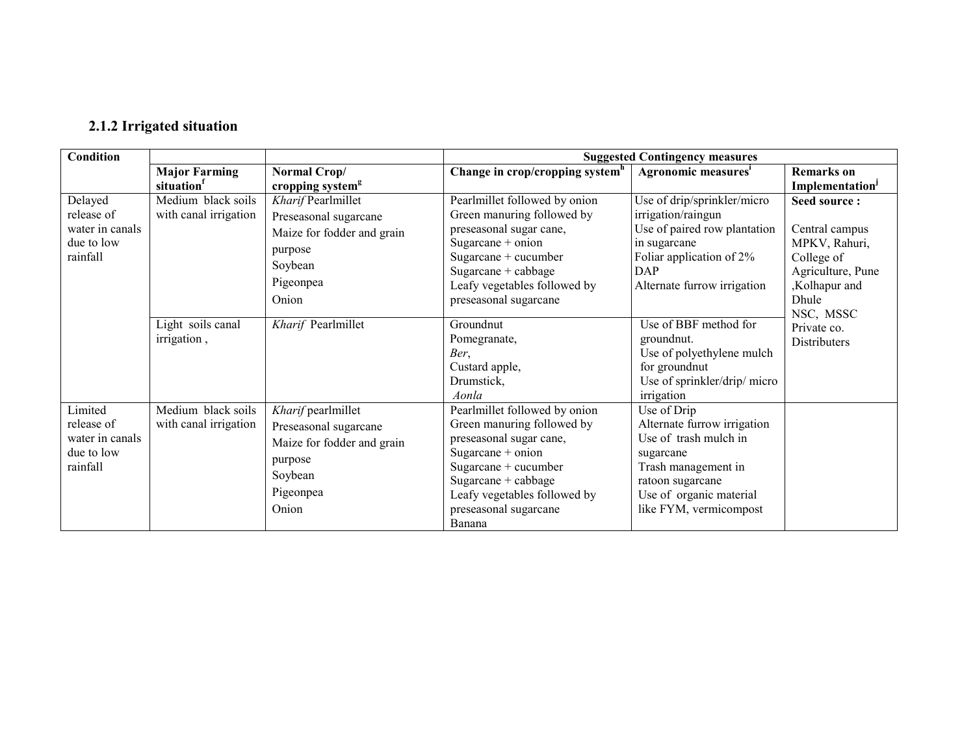## 2.1.2 Irrigated situation

| <b>Condition</b> |                       |                              | <b>Suggested Contingency measures</b> |                                 |                             |  |
|------------------|-----------------------|------------------------------|---------------------------------------|---------------------------------|-----------------------------|--|
|                  | <b>Major Farming</b>  | Normal Crop/                 | Change in crop/cropping system $^h$   | Agronomic measures <sup>i</sup> | <b>Remarks</b> on           |  |
|                  | situation             | cropping system <sup>g</sup> |                                       |                                 | Implementation <sup>J</sup> |  |
| Delayed          | Medium black soils    | Kharif Pearlmillet           | Pearlmillet followed by onion         | Use of drip/sprinkler/micro     | Seed source:                |  |
| release of       | with canal irrigation | Preseasonal sugarcane        | Green manuring followed by            | irrigation/raingun              |                             |  |
| water in canals  |                       | Maize for fodder and grain   | preseasonal sugar cane,               | Use of paired row plantation    | Central campus              |  |
| due to low       |                       | purpose                      | Sugarcane + onion                     | in sugarcane                    | MPKV, Rahuri,               |  |
| rainfall         |                       | Soybean                      | Sugarcane + cucumber                  | Foliar application of 2%        | College of                  |  |
|                  |                       | Pigeonpea                    | Sugarcane + cabbage                   | <b>DAP</b>                      | Agriculture, Pune           |  |
|                  |                       |                              | Leafy vegetables followed by          | Alternate furrow irrigation     | ,Kolhapur and               |  |
|                  |                       | Onion                        | preseasonal sugarcane                 |                                 | Dhule<br>NSC, MSSC          |  |
|                  | Light soils canal     | Kharif Pearlmillet           | Groundnut                             | Use of BBF method for           | Private co.                 |  |
|                  | irrigation,           |                              | Pomegranate,                          | groundnut.                      | Distributers                |  |
|                  |                       |                              | Ber,                                  | Use of polyethylene mulch       |                             |  |
|                  |                       |                              | Custard apple,                        | for groundnut                   |                             |  |
|                  |                       |                              | Drumstick,                            | Use of sprinkler/drip/ micro    |                             |  |
|                  |                       |                              | Aonla                                 | irrigation                      |                             |  |
| Limited          | Medium black soils    | Kharif pearlmillet           | Pearlmillet followed by onion         | Use of Drip                     |                             |  |
| release of       | with canal irrigation | Preseasonal sugarcane        | Green manuring followed by            | Alternate furrow irrigation     |                             |  |
| water in canals  |                       | Maize for fodder and grain   | preseasonal sugar cane,               | Use of trash mulch in           |                             |  |
| due to low       |                       | purpose                      | Sugarcane $+$ onion                   | sugarcane                       |                             |  |
| rainfall         |                       | Soybean                      | Sugarcane + cucumber                  | Trash management in             |                             |  |
|                  |                       | Pigeonpea                    | Sugarcane + cabbage                   | ratoon sugarcane                |                             |  |
|                  |                       |                              | Leafy vegetables followed by          | Use of organic material         |                             |  |
|                  |                       | Onion                        | preseasonal sugarcane                 | like FYM, vermicompost          |                             |  |
|                  |                       |                              | Banana                                |                                 |                             |  |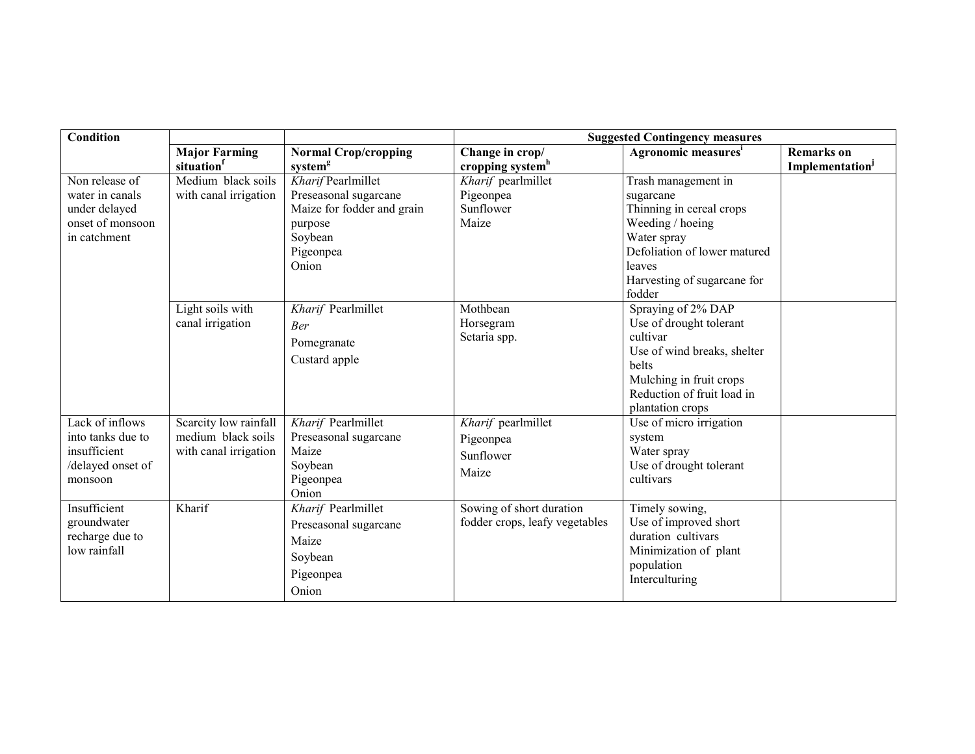| Condition         |                       |                             | <b>Suggested Contingency measures</b> |                                 |                             |  |
|-------------------|-----------------------|-----------------------------|---------------------------------------|---------------------------------|-----------------------------|--|
|                   | <b>Major Farming</b>  | <b>Normal Crop/cropping</b> | Change in crop/                       | Agronomic measures <sup>i</sup> | <b>Remarks</b> on           |  |
|                   | situation             | system <sup>g</sup>         | cropping system <sup>h</sup>          |                                 | Implementation <sup>J</sup> |  |
| Non release of    | Medium black soils    | Kharif Pearlmillet          | Kharif pearlmillet                    | Trash management in             |                             |  |
| water in canals   | with canal irrigation | Preseasonal sugarcane       | Pigeonpea                             | sugarcane                       |                             |  |
| under delayed     |                       | Maize for fodder and grain  | Sunflower                             | Thinning in cereal crops        |                             |  |
| onset of monsoon  |                       | purpose                     | Maize                                 | Weeding / hoeing                |                             |  |
| in catchment      |                       | Soybean                     |                                       | Water spray                     |                             |  |
|                   |                       | Pigeonpea                   |                                       | Defoliation of lower matured    |                             |  |
|                   |                       | Onion                       |                                       | leaves                          |                             |  |
|                   |                       |                             |                                       | Harvesting of sugarcane for     |                             |  |
|                   |                       |                             |                                       | fodder                          |                             |  |
|                   | Light soils with      | Kharif Pearlmillet          | Mothbean                              | Spraying of 2% DAP              |                             |  |
|                   | canal irrigation      | <b>Ber</b>                  | Horsegram                             | Use of drought tolerant         |                             |  |
|                   |                       | Pomegranate                 | Setaria spp.                          | cultivar                        |                             |  |
|                   |                       | Custard apple               |                                       | Use of wind breaks, shelter     |                             |  |
|                   |                       |                             |                                       | <b>belts</b>                    |                             |  |
|                   |                       |                             |                                       | Mulching in fruit crops         |                             |  |
|                   |                       |                             |                                       | Reduction of fruit load in      |                             |  |
|                   |                       |                             |                                       | plantation crops                |                             |  |
| Lack of inflows   | Scarcity low rainfall | Kharif Pearlmillet          | Kharif pearlmillet                    | Use of micro irrigation         |                             |  |
| into tanks due to | medium black soils    | Preseasonal sugarcane       | Pigeonpea                             | system                          |                             |  |
| insufficient      | with canal irrigation | Maize                       | Sunflower                             | Water spray                     |                             |  |
| /delayed onset of |                       | Soybean                     | Maize                                 | Use of drought tolerant         |                             |  |
| monsoon           |                       | Pigeonpea                   |                                       | cultivars                       |                             |  |
|                   |                       | Onion                       |                                       |                                 |                             |  |
| Insufficient      | Kharif                | Kharif Pearlmillet          | Sowing of short duration              | Timely sowing,                  |                             |  |
| groundwater       |                       | Preseasonal sugarcane       | fodder crops, leafy vegetables        | Use of improved short           |                             |  |
| recharge due to   |                       | Maize                       |                                       | duration cultivars              |                             |  |
| low rainfall      |                       | Soybean                     |                                       | Minimization of plant           |                             |  |
|                   |                       |                             |                                       |                                 |                             |  |
|                   |                       |                             |                                       |                                 |                             |  |
|                   |                       | Pigeonpea<br>Onion          |                                       | population<br>Interculturing    |                             |  |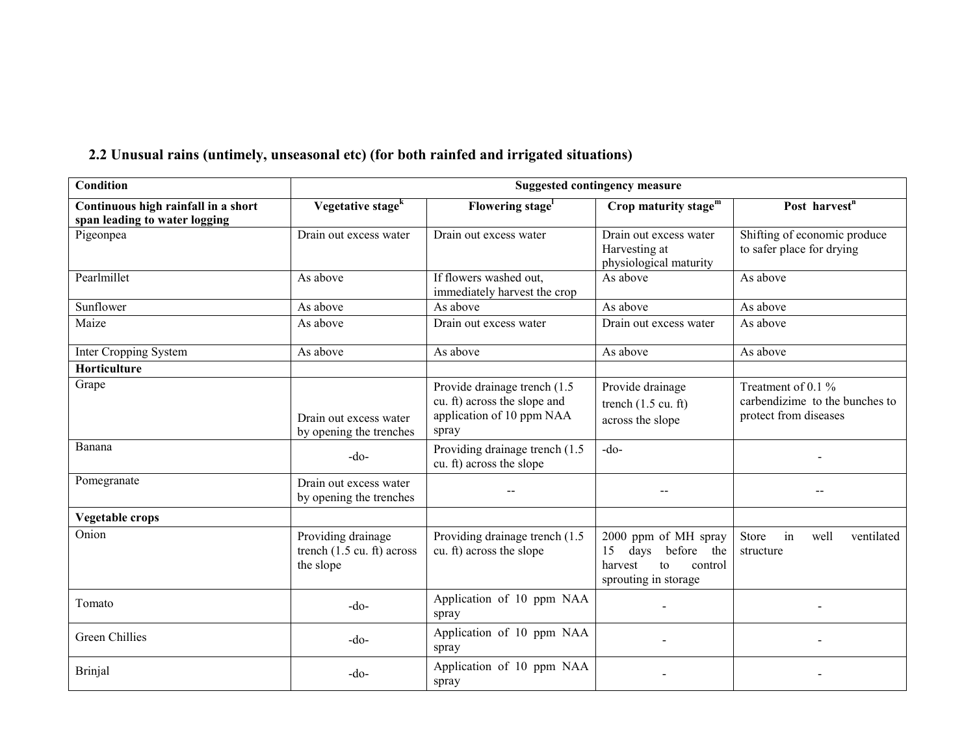| <b>Condition</b>                                                     |                                                                         |                                                                                                     | <b>Suggested contingency measure</b>                                                                 |                                                                                 |
|----------------------------------------------------------------------|-------------------------------------------------------------------------|-----------------------------------------------------------------------------------------------------|------------------------------------------------------------------------------------------------------|---------------------------------------------------------------------------------|
| Continuous high rainfall in a short<br>span leading to water logging | Vegetative stage <sup>k</sup>                                           | Flowering stage <sup>1</sup>                                                                        | Crop maturity stage $m$                                                                              | Post harvest <sup>n</sup>                                                       |
| Pigeonpea                                                            | Drain out excess water                                                  | Drain out excess water                                                                              | Drain out excess water<br>Harvesting at<br>physiological maturity                                    | Shifting of economic produce<br>to safer place for drying                       |
| Pearlmillet                                                          | As above                                                                | If flowers washed out,<br>immediately harvest the crop                                              | As above                                                                                             | As above                                                                        |
| Sunflower                                                            | As above                                                                | As above                                                                                            | As above                                                                                             | As above                                                                        |
| Maize                                                                | As above                                                                | Drain out excess water                                                                              | Drain out excess water                                                                               | As above                                                                        |
| Inter Cropping System                                                | As above                                                                | As above                                                                                            | As above                                                                                             | As above                                                                        |
| Horticulture                                                         |                                                                         |                                                                                                     |                                                                                                      |                                                                                 |
| Grape                                                                | Drain out excess water<br>by opening the trenches                       | Provide drainage trench (1.5)<br>cu. ft) across the slope and<br>application of 10 ppm NAA<br>spray | Provide drainage<br>trench $(1.5 \text{ cu. ft})$<br>across the slope                                | Treatment of 0.1 $%$<br>carbendizime to the bunches to<br>protect from diseases |
| Banana                                                               | $-do-$                                                                  | Providing drainage trench (1.5)<br>cu. ft) across the slope                                         | $-do-$                                                                                               |                                                                                 |
| Pomegranate                                                          | Drain out excess water<br>by opening the trenches                       |                                                                                                     |                                                                                                      |                                                                                 |
| Vegetable crops                                                      |                                                                         |                                                                                                     |                                                                                                      |                                                                                 |
| Onion                                                                | Providing drainage<br>trench $(1.5 \text{ cu. ft})$ across<br>the slope | Providing drainage trench (1.5)<br>cu. ft) across the slope                                         | 2000 ppm of MH spray<br>before the<br>days<br>15<br>harvest<br>to<br>control<br>sprouting in storage | Store<br>in<br>well<br>ventilated<br>structure                                  |
| Tomato                                                               | $-do-$                                                                  | Application of 10 ppm NAA<br>spray                                                                  |                                                                                                      |                                                                                 |
| Green Chillies                                                       | $-do-$                                                                  | Application of 10 ppm NAA<br>spray                                                                  |                                                                                                      |                                                                                 |
| <b>Brinjal</b>                                                       | -do-                                                                    | Application of 10 ppm NAA<br>spray                                                                  |                                                                                                      |                                                                                 |

## 2.2 Unusual rains (untimely, unseasonal etc) (for both rainfed and irrigated situations)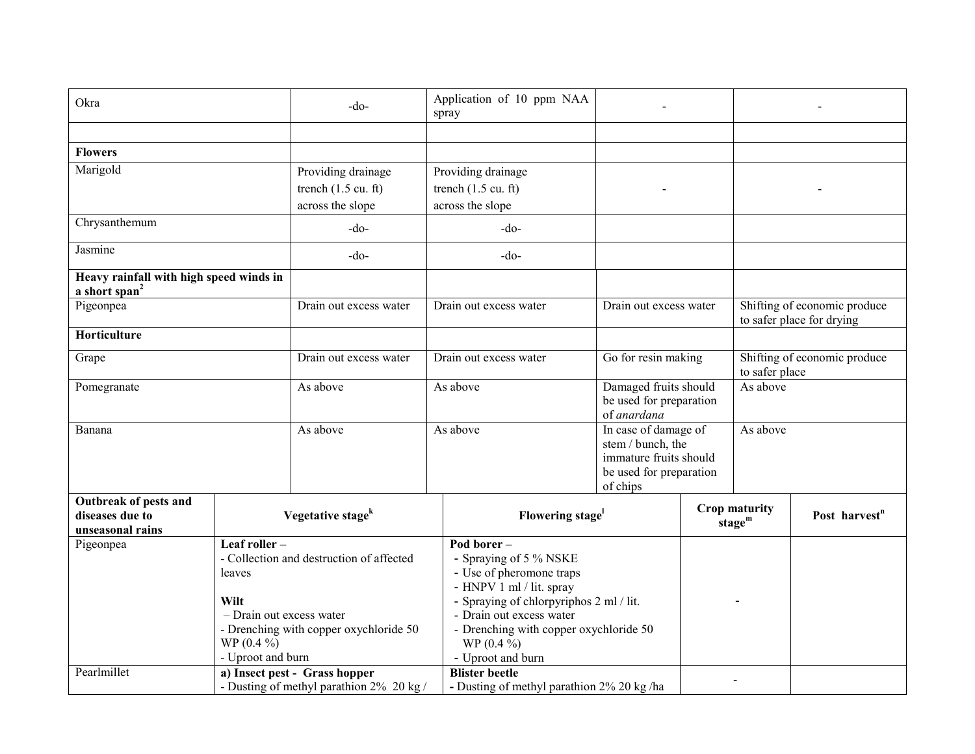| Okra                                                                 |                                                                                                                                                                                      | -do-                                                                      | Application of 10 ppm NAA<br>spray                                                                                                             |                                                                                                            |  |                                                |                                                           |
|----------------------------------------------------------------------|--------------------------------------------------------------------------------------------------------------------------------------------------------------------------------------|---------------------------------------------------------------------------|------------------------------------------------------------------------------------------------------------------------------------------------|------------------------------------------------------------------------------------------------------------|--|------------------------------------------------|-----------------------------------------------------------|
|                                                                      |                                                                                                                                                                                      |                                                                           |                                                                                                                                                |                                                                                                            |  |                                                |                                                           |
| <b>Flowers</b>                                                       |                                                                                                                                                                                      |                                                                           |                                                                                                                                                |                                                                                                            |  |                                                |                                                           |
| Marigold                                                             |                                                                                                                                                                                      | Providing drainage                                                        | Providing drainage                                                                                                                             |                                                                                                            |  |                                                |                                                           |
|                                                                      |                                                                                                                                                                                      | trench $(1.5 \text{ cu. ft})$                                             | trench $(1.5 \text{ cu. ft})$                                                                                                                  |                                                                                                            |  |                                                |                                                           |
|                                                                      |                                                                                                                                                                                      | across the slope                                                          | across the slope                                                                                                                               |                                                                                                            |  |                                                |                                                           |
| Chrysanthemum                                                        |                                                                                                                                                                                      | $-do-$                                                                    | $-do-$                                                                                                                                         |                                                                                                            |  |                                                |                                                           |
| Jasmine                                                              |                                                                                                                                                                                      | -do-                                                                      | $-do-$                                                                                                                                         |                                                                                                            |  |                                                |                                                           |
| Heavy rainfall with high speed winds in<br>a short span <sup>2</sup> |                                                                                                                                                                                      |                                                                           |                                                                                                                                                |                                                                                                            |  |                                                |                                                           |
| Pigeonpea                                                            |                                                                                                                                                                                      | Drain out excess water                                                    | Drain out excess water                                                                                                                         | Drain out excess water                                                                                     |  |                                                | Shifting of economic produce<br>to safer place for drying |
| Horticulture                                                         |                                                                                                                                                                                      |                                                                           |                                                                                                                                                |                                                                                                            |  |                                                |                                                           |
| Grape                                                                |                                                                                                                                                                                      |                                                                           | Drain out excess water                                                                                                                         | Go for resin making                                                                                        |  | Shifting of economic produce<br>to safer place |                                                           |
| Pomegranate                                                          |                                                                                                                                                                                      | As above                                                                  | As above                                                                                                                                       | Damaged fruits should<br>be used for preparation<br>of anardana                                            |  | As above                                       |                                                           |
| Banana                                                               |                                                                                                                                                                                      | As above                                                                  | As above                                                                                                                                       | In case of damage of<br>stem / bunch, the<br>immature fruits should<br>be used for preparation<br>of chips |  | As above                                       |                                                           |
| Outbreak of pests and<br>diseases due to<br>unseasonal rains         |                                                                                                                                                                                      | Vegetative stage <sup>k</sup>                                             |                                                                                                                                                | Flowering stage <sup>1</sup>                                                                               |  | Crop maturity<br>stage $m$                     | Post harvest <sup>n</sup>                                 |
| Pigeonpea                                                            | Leaf roller-<br>- Collection and destruction of affected<br>leaves<br>Wilt<br>- Drain out excess water<br>- Drenching with copper oxychloride 50<br>$WP(0.4\%)$<br>- Uproot and burn |                                                                           | - Spraying of 5 % NSKE<br>- Use of pheromone traps<br>- HNPV 1 ml / lit. spray<br>- Drain out excess water<br>$WP(0.4\%)$<br>- Uproot and burn | Pod borer-<br>- Spraying of chlorpyriphos 2 ml / lit.<br>- Drenching with copper oxychloride 50            |  |                                                |                                                           |
| Pearlmillet                                                          |                                                                                                                                                                                      | a) Insect pest - Grass hopper<br>- Dusting of methyl parathion 2% 20 kg / | <b>Blister beetle</b><br>- Dusting of methyl parathion 2% 20 kg/ha                                                                             |                                                                                                            |  |                                                |                                                           |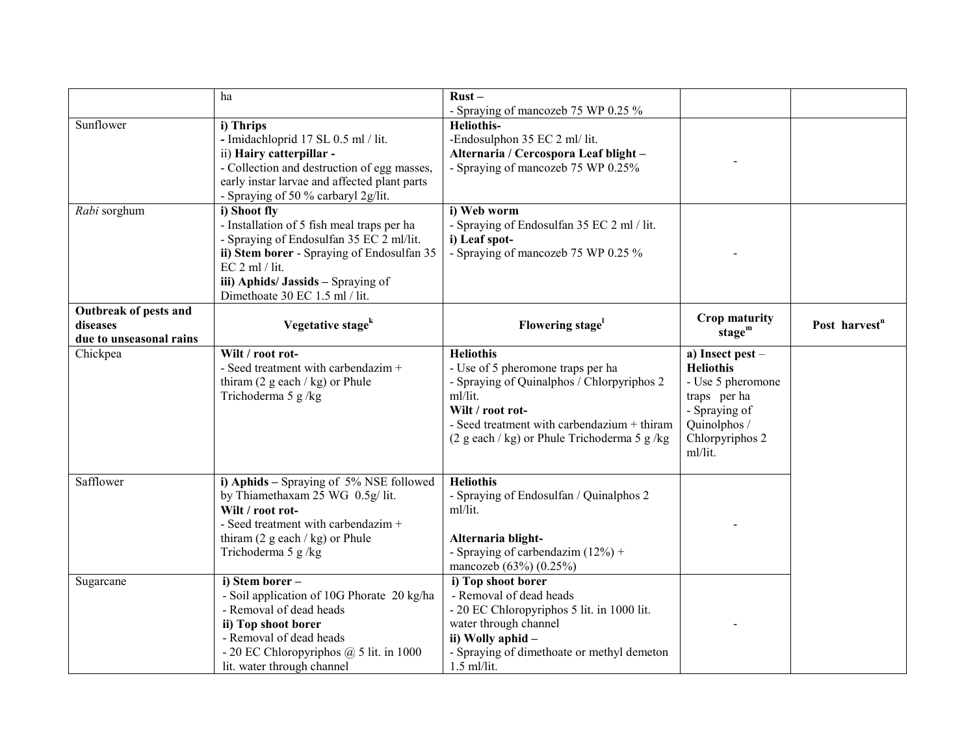|                                                              | ha                                                                                                                                                                                                                                               | $Rust -$<br>- Spraying of mancozeb 75 WP 0.25 %                                                                                                                                                                                    |                                                                                                                                          |                           |
|--------------------------------------------------------------|--------------------------------------------------------------------------------------------------------------------------------------------------------------------------------------------------------------------------------------------------|------------------------------------------------------------------------------------------------------------------------------------------------------------------------------------------------------------------------------------|------------------------------------------------------------------------------------------------------------------------------------------|---------------------------|
| Sunflower                                                    | i) Thrips<br>- Imidachloprid 17 SL 0.5 ml / lit.<br>ii) Hairy catterpillar -<br>- Collection and destruction of egg masses,<br>early instar larvae and affected plant parts<br>- Spraying of 50 % carbaryl 2g/lit.                               | <b>Heliothis-</b><br>-Endosulphon 35 EC 2 ml/ lit.<br>Alternaria / Cercospora Leaf blight -<br>- Spraying of mancozeb 75 WP 0.25%                                                                                                  |                                                                                                                                          |                           |
| Rabi sorghum                                                 | i) Shoot fly<br>- Installation of 5 fish meal traps per ha<br>- Spraying of Endosulfan 35 EC 2 ml/lit.<br>ii) Stem borer - Spraying of Endosulfan 35<br>$EC$ 2 ml / lit.<br>iii) Aphids/ Jassids - Spraying of<br>Dimethoate 30 EC 1.5 ml / lit. | i) Web worm<br>- Spraying of Endosulfan 35 EC 2 ml / lit.<br>i) Leaf spot-<br>- Spraying of mancozeb 75 WP 0.25 %                                                                                                                  |                                                                                                                                          |                           |
| Outbreak of pests and<br>diseases<br>due to unseasonal rains | Vegetative stage <sup>k</sup>                                                                                                                                                                                                                    | Flowering stage                                                                                                                                                                                                                    | Crop maturity<br>stage $m$                                                                                                               | Post harvest <sup>n</sup> |
| Chickpea                                                     | Wilt / root rot-<br>- Seed treatment with carbendazim +<br>thiram $(2$ g each / kg) or Phule<br>Trichoderma 5 g/kg                                                                                                                               | <b>Heliothis</b><br>- Use of 5 pheromone traps per ha<br>- Spraying of Quinalphos / Chlorpyriphos 2<br>ml/lit.<br>Wilt / root rot-<br>- Seed treatment with carbendazium + thiram<br>$(2 g each / kg)$ or Phule Trichoderma 5 g/kg | a) Insect pest -<br><b>Heliothis</b><br>- Use 5 pheromone<br>traps per ha<br>- Spraying of<br>Quinolphos /<br>Chlorpyriphos 2<br>ml/lit. |                           |
| Safflower                                                    | i) Aphids - Spraying of 5% NSE followed<br>by Thiamethaxam 25 WG 0.5g/lit.<br>Wilt / root rot-<br>- Seed treatment with carbendazim +<br>thiram $(2 \text{ g each } k)$ or Phule<br>Trichoderma 5 g/kg                                           | <b>Heliothis</b><br>- Spraying of Endosulfan / Quinalphos 2<br>ml/lit.<br>Alternaria blight-<br>- Spraying of carbendazim $(12\%)$ +<br>mancozeb (63%) (0.25%)                                                                     |                                                                                                                                          |                           |
| Sugarcane                                                    | i) Stem borer -<br>- Soil application of 10G Phorate 20 kg/ha<br>- Removal of dead heads<br>ii) Top shoot borer<br>- Removal of dead heads<br>- 20 EC Chloropyriphos $@$ 5 lit. in 1000<br>lit. water through channel                            | i) Top shoot borer<br>- Removal of dead heads<br>- 20 EC Chloropyriphos 5 lit. in 1000 lit.<br>water through channel<br>ii) Wolly aphid -<br>- Spraying of dimethoate or methyl demeton<br>$1.5$ ml/lit.                           |                                                                                                                                          |                           |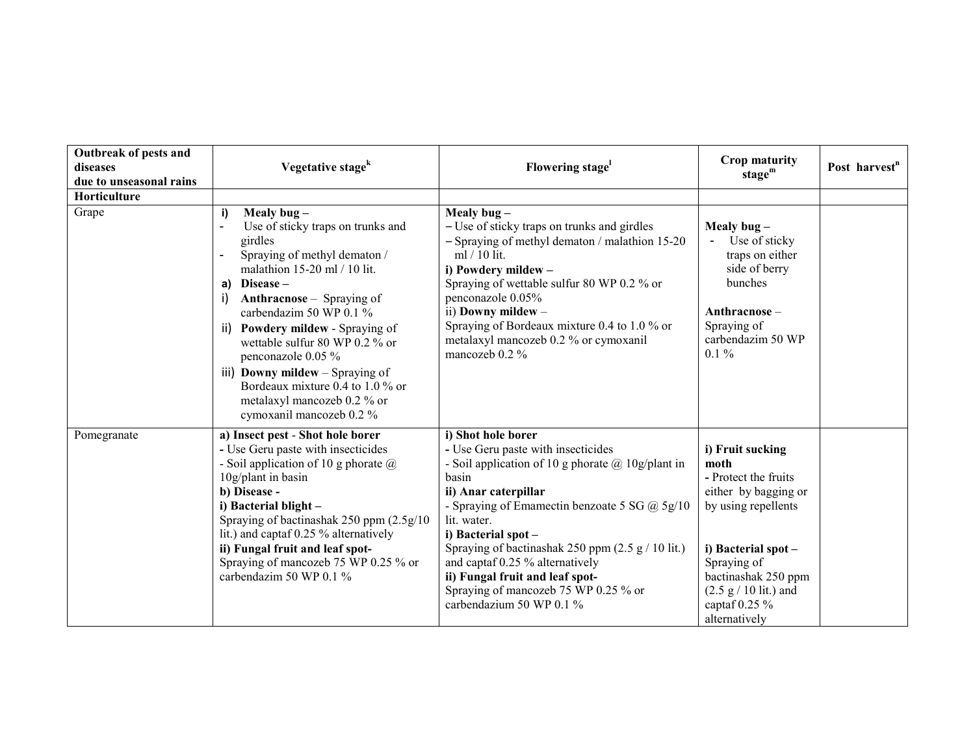| Outbreak of pests and<br>diseases | Vegetative stage <sup>k</sup>                                                                                                                                                                                                                                                                                                                                                                                                                                                   | Flowering stage <sup>1</sup>                                                                                                                                                                                                                                                                                                                                                                                                                  | Crop maturity<br>stage $m$                                                                                                                                                                                                  | Post harvest <sup>n</sup> |
|-----------------------------------|---------------------------------------------------------------------------------------------------------------------------------------------------------------------------------------------------------------------------------------------------------------------------------------------------------------------------------------------------------------------------------------------------------------------------------------------------------------------------------|-----------------------------------------------------------------------------------------------------------------------------------------------------------------------------------------------------------------------------------------------------------------------------------------------------------------------------------------------------------------------------------------------------------------------------------------------|-----------------------------------------------------------------------------------------------------------------------------------------------------------------------------------------------------------------------------|---------------------------|
| due to unseasonal rains           |                                                                                                                                                                                                                                                                                                                                                                                                                                                                                 |                                                                                                                                                                                                                                                                                                                                                                                                                                               |                                                                                                                                                                                                                             |                           |
| Horticulture                      |                                                                                                                                                                                                                                                                                                                                                                                                                                                                                 |                                                                                                                                                                                                                                                                                                                                                                                                                                               |                                                                                                                                                                                                                             |                           |
| Grape                             | Mealy bug $-$<br>i)<br>Use of sticky traps on trunks and<br>girdles<br>Spraying of methyl dematon /<br>$\overline{a}$<br>malathion 15-20 ml / 10 lit.<br>a) Disease $-$<br><b>Anthracnose</b> – Spraying of<br>i)<br>carbendazim 50 WP $0.1\%$<br>ii) Powdery mildew - Spraying of<br>wettable sulfur 80 WP 0.2 % or<br>penconazole 0.05 %<br>iii) Downy mildew - Spraying of<br>Bordeaux mixture 0.4 to 1.0 $\%$ or<br>metalaxyl mancozeb 0.2 % or<br>cymoxanil mancozeb 0.2 % | Mealy bug $-$<br>- Use of sticky traps on trunks and girdles<br>- Spraying of methyl dematon / malathion 15-20<br>ml / 10 lit.<br>i) Powdery mildew -<br>Spraying of wettable sulfur 80 WP 0.2 % or<br>penconazole 0.05%<br>ii) Downy mildew -<br>Spraying of Bordeaux mixture 0.4 to 1.0 % or<br>metalaxyl mancozeb 0.2 % or cymoxanil<br>mancozeb 0.2 %                                                                                     | Mealy bug $-$<br>Use of sticky<br>$\blacksquare$<br>traps on either<br>side of berry<br>bunches<br>Anthracnose-<br>Spraying of<br>carbendazim 50 WP<br>$0.1 \%$                                                             |                           |
| Pomegranate                       | a) Insect pest - Shot hole borer<br>- Use Geru paste with insecticides<br>- Soil application of 10 g phorate $\omega$<br>10g/plant in basin<br>b) Disease -<br>i) Bacterial blight -<br>Spraying of bactinashak 250 ppm (2.5g/10<br>lit.) and captaf 0.25 % alternatively<br>ii) Fungal fruit and leaf spot-<br>Spraying of mancozeb 75 WP 0.25 % or<br>carbendazim 50 WP $0.1\%$                                                                                               | i) Shot hole borer<br>- Use Geru paste with insecticides<br>- Soil application of 10 g phorate $\omega$ 10g/plant in<br>basin<br>ii) Anar caterpillar<br>- Spraying of Emamectin benzoate 5 SG @ 5g/10<br>lit. water.<br>i) Bacterial spot -<br>Spraying of bactinashak 250 ppm $(2.5 g / 10$ lit.)<br>and captaf 0.25 % alternatively<br>ii) Fungal fruit and leaf spot-<br>Spraying of mancozeb 75 WP 0.25 % or<br>carbendazium 50 WP 0.1 % | i) Fruit sucking<br>moth<br>- Protect the fruits<br>either by bagging or<br>by using repellents<br>i) Bacterial spot -<br>Spraying of<br>bactinashak 250 ppm<br>$(2.5 g / 10$ lit.) and<br>captaf $0.25\%$<br>alternatively |                           |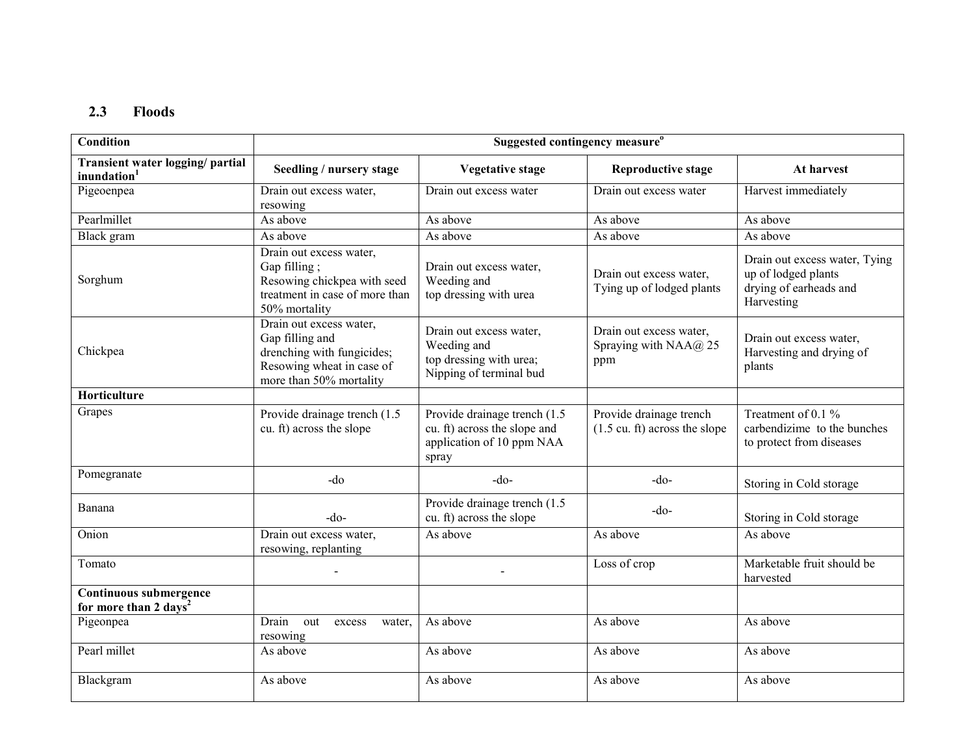### 2.3Floods

| <b>Condition</b>                                                   | Suggested contingency measure <sup>o</sup>                                                                                       |                                                                                                     |                                                                    |                                                                                              |  |
|--------------------------------------------------------------------|----------------------------------------------------------------------------------------------------------------------------------|-----------------------------------------------------------------------------------------------------|--------------------------------------------------------------------|----------------------------------------------------------------------------------------------|--|
| Transient water logging/ partial<br>inundation <sup>1</sup>        | Seedling / nursery stage                                                                                                         | <b>Vegetative stage</b>                                                                             | <b>Reproductive stage</b>                                          | At harvest                                                                                   |  |
| Pigeoenpea                                                         | Drain out excess water,<br>resowing                                                                                              | Drain out excess water                                                                              | Drain out excess water                                             | Harvest immediately                                                                          |  |
| Pearlmillet                                                        | As above                                                                                                                         | As above                                                                                            | As above                                                           | As above                                                                                     |  |
| Black gram                                                         | As above                                                                                                                         | As above                                                                                            | As above                                                           | As above                                                                                     |  |
| Sorghum                                                            | Drain out excess water,<br>Gap filling;<br>Resowing chickpea with seed<br>treatment in case of more than<br>50% mortality        | Drain out excess water,<br>Weeding and<br>top dressing with urea                                    | Drain out excess water,<br>Tying up of lodged plants               | Drain out excess water, Tying<br>up of lodged plants<br>drying of earheads and<br>Harvesting |  |
| Chickpea                                                           | Drain out excess water,<br>Gap filling and<br>drenching with fungicides;<br>Resowing wheat in case of<br>more than 50% mortality | Drain out excess water,<br>Weeding and<br>top dressing with urea;<br>Nipping of terminal bud        | Drain out excess water,<br>Spraying with NAA@ 25<br>ppm            | Drain out excess water,<br>Harvesting and drying of<br>plants                                |  |
| Horticulture                                                       |                                                                                                                                  |                                                                                                     |                                                                    |                                                                                              |  |
| Grapes                                                             | Provide drainage trench (1.5)<br>cu. ft) across the slope                                                                        | Provide drainage trench (1.5)<br>cu. ft) across the slope and<br>application of 10 ppm NAA<br>spray | Provide drainage trench<br>$(1.5 \text{ cu. ft})$ across the slope | Treatment of 0.1 %<br>carbendizime to the bunches<br>to protect from diseases                |  |
| Pomegranate                                                        | $-do$                                                                                                                            | $-do$                                                                                               | $-do$                                                              | Storing in Cold storage                                                                      |  |
| Banana                                                             | $-do-$                                                                                                                           | Provide drainage trench (1.5)<br>cu. ft) across the slope                                           | $-do$ -                                                            | Storing in Cold storage                                                                      |  |
| Onion                                                              | Drain out excess water,<br>resowing, replanting                                                                                  | As above                                                                                            | As above                                                           | As above                                                                                     |  |
| Tomato                                                             |                                                                                                                                  |                                                                                                     | Loss of crop                                                       | Marketable fruit should be<br>harvested                                                      |  |
| <b>Continuous submergence</b><br>for more than 2 days <sup>2</sup> |                                                                                                                                  |                                                                                                     |                                                                    |                                                                                              |  |
| Pigeonpea                                                          | Drain<br>out<br>excess<br>water.<br>resowing                                                                                     | As above                                                                                            | As above                                                           | As above                                                                                     |  |
| Pearl millet                                                       | As above                                                                                                                         | As above                                                                                            | As above                                                           | As above                                                                                     |  |
| Blackgram                                                          | As above                                                                                                                         | As above                                                                                            | As above                                                           | As above                                                                                     |  |